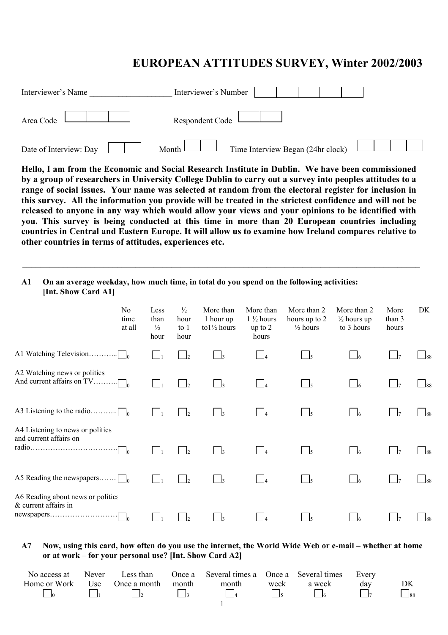# **EUROPEAN ATTITUDES SURVEY, Winter 2002/2003**

| Interviewer's Name     | Interviewer's Number                         |  |
|------------------------|----------------------------------------------|--|
| Area Code              | Respondent Code L                            |  |
| Date of Interview: Day | Time Interview Began (24hr clock)<br>Month L |  |

**Hello, I am from the Economic and Social Research Institute in Dublin. We have been commissioned by a group of researchers in University College Dublin to carry out a survey into peoples attitudes to a range of social issues. Your name was selected at random from the electoral register for inclusion in this survey. All the information you provide will be treated in the strictest confidence and will not be released to anyone in any way which would allow your views and your opinions to be identified with you. This survey is being conducted at this time in more than 20 European countries including countries in Central and Eastern Europe. It will allow us to examine how Ireland compares relative to other countries in terms of attitudes, experiences etc.** 

 $\_$  , and the contribution of the contribution of the contribution of the contribution of the contribution of  $\mathcal{L}_\text{max}$ 

# **A1 On an average weekday, how much time, in total do you spend on the following activities: [Int. Show Card A1]**

|                                                            | N <sub>0</sub><br>time<br>at all | Less<br>than<br>$\frac{1}{2}$<br>hour | $\frac{1}{2}$<br>hour<br>to $1$<br>hour | More than<br>1 hour up<br>to $1\frac{1}{2}$ hours | More than<br>$1\frac{1}{2}$ hours<br>up to $2$<br>hours | More than 2<br>hours up to 2<br>$\frac{1}{2}$ hours | More than 2<br>$\frac{1}{2}$ hours up<br>to 3 hours | More<br>than 3<br>hours | DK             |
|------------------------------------------------------------|----------------------------------|---------------------------------------|-----------------------------------------|---------------------------------------------------|---------------------------------------------------------|-----------------------------------------------------|-----------------------------------------------------|-------------------------|----------------|
| A1 Watching Television                                     | $\Box$                           |                                       |                                         |                                                   | $\vert$ $\vert$                                         | $\overline{\phantom{0}}$                            |                                                     |                         | 188            |
| A2 Watching news or politics                               |                                  | $\blacksquare$                        | $\vert$                                 |                                                   | $\overline{a}$                                          | $\sim$ 5                                            |                                                     |                         | 188            |
| A3 Listening to the radio<br>. 1                           |                                  |                                       | $\mathsf{L}$                            |                                                   |                                                         | $\Box$ <sub>5</sub>                                 | $\Box$ 6                                            |                         |                |
| A4 Listening to news or politics<br>and current affairs on | -lo                              | $\Box$                                | $\mathsf{L}$                            |                                                   |                                                         | $\frac{1}{5}$                                       |                                                     |                         | 188            |
| A5 Reading the newspapers $\Box$                           |                                  | $\vert \ \ \vert$                     | $\vert$ $\vert$ 2                       |                                                   |                                                         | $\vert$ $\vert$ 5                                   |                                                     | $\vert \ \vert_7$       | $\frac{1}{88}$ |
| A6 Reading about news or politics<br>& current affairs in  | $\Box$ 0                         |                                       |                                         |                                                   |                                                         |                                                     |                                                     |                         | 188            |

## **A7 Now, using this card, how often do you use the internet, the World Wide Web or e-mail – whether at home or at work – for your personal use? [Int. Show Card A2]**

| No access at |                  |       | Never Less than Once a Several times a Once a Several times Every |      |        |     |                      |
|--------------|------------------|-------|-------------------------------------------------------------------|------|--------|-----|----------------------|
| Home or Work | Use Once a month | month | month                                                             | week | a week | day |                      |
|              |                  |       |                                                                   |      |        |     | $\Box$ <sub>88</sub> |
|              |                  |       |                                                                   |      |        |     |                      |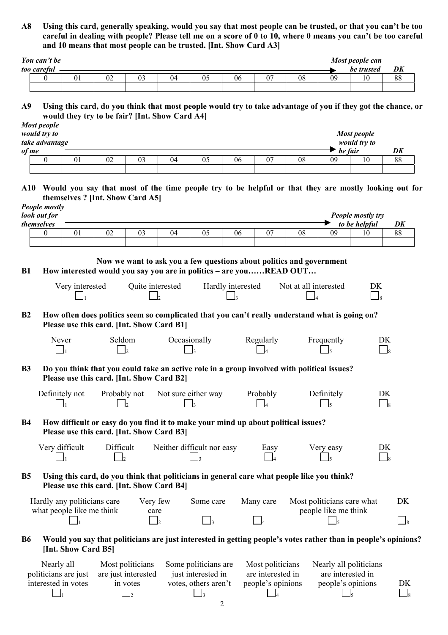**A8 Using this card, generally speaking, would you say that most people can be trusted, or that you can't be too careful in dealing with people? Please tell me on a score of 0 to 10, where 0 means you can't be too careful and 10 means that most people can be trusted. [Int. Show Card A3]** 

| You can't be |    |    |    |    |    |    | Most people can |    |
|--------------|----|----|----|----|----|----|-----------------|----|
| too careful  |    |    |    |    |    |    | be trusted      | DK |
|              | ◡∠ | 04 | 06 | 07 | 08 | 09 |                 | 88 |
|              |    |    |    |    |    |    |                 |    |

**A9 Using this card, do you think that most people would try to take advantage of you if they got the chance, or would they try to be fair? [Int. Show Card A4]** 

|  | <b>Most people</b><br>would try to<br>take advantage<br>of me |    |    |    |    |    |    |    |    | be fair | <b>Most people</b><br>would try to | DK |
|--|---------------------------------------------------------------|----|----|----|----|----|----|----|----|---------|------------------------------------|----|
|  |                                                               | 01 | 02 | 03 | 04 | U5 | 06 | υ. | 08 | 09      | 10                                 | 88 |

**A10 Would you say that most of the time people try to be helpful or that they are mostly looking out for themselves ? [Int. Show Card A5]**

|           | People mostly<br>look out for<br>themselves |                                                          |                                           |                     |    |                                                                                                                                            |                   |                   |                       |                                                    | People mostly try<br>to be helpful                                                                             | DK       |
|-----------|---------------------------------------------|----------------------------------------------------------|-------------------------------------------|---------------------|----|--------------------------------------------------------------------------------------------------------------------------------------------|-------------------|-------------------|-----------------------|----------------------------------------------------|----------------------------------------------------------------------------------------------------------------|----------|
|           | $\theta$                                    | 01                                                       | 02                                        | 03                  | 04 | 05                                                                                                                                         | 06                | 07                | 08                    | 09                                                 | 10                                                                                                             | 88       |
|           |                                             |                                                          |                                           |                     |    |                                                                                                                                            |                   |                   |                       |                                                    |                                                                                                                |          |
| <b>B1</b> |                                             | Very interested                                          |                                           | Quite interested    |    | Now we want to ask you a few questions about politics and government<br>How interested would you say you are in politics - are youREAD OUT | Hardly interested |                   | Not at all interested |                                                    | DK<br>$\Box$                                                                                                   |          |
| B2        |                                             |                                                          | Please use this card. [Int. Show Card B1] |                     |    | How often does politics seem so complicated that you can't really understand what is going on?                                             |                   |                   |                       |                                                    |                                                                                                                |          |
|           | Never                                       |                                                          | Seldom                                    |                     |    | Occasionally                                                                                                                               |                   | Regularly         |                       | Frequently                                         | DK<br>$\Box$                                                                                                   |          |
| <b>B3</b> |                                             |                                                          | Please use this card. [Int. Show Card B2] |                     |    | Do you think that you could take an active role in a group involved with political issues?                                                 |                   |                   |                       |                                                    |                                                                                                                |          |
|           | Definitely not                              |                                                          | Probably not                              |                     |    | Not sure either way                                                                                                                        |                   | Probably          |                       | Definitely                                         | DK<br>$\overline{\phantom{0}}$ 8                                                                               |          |
| <b>B4</b> |                                             |                                                          | Please use this card. [Int. Show Card B3] |                     |    | How difficult or easy do you find it to make your mind up about political issues?                                                          |                   |                   |                       |                                                    |                                                                                                                |          |
|           | Very difficult                              |                                                          | Difficult                                 |                     |    | Neither difficult nor easy                                                                                                                 |                   | Easy              |                       | Very easy                                          | DK<br>$\begin{array}{c} \hline \end{array}$                                                                    |          |
| <b>B5</b> |                                             |                                                          | Please use this card. [Int. Show Card B4] |                     |    | Using this card, do you think that politicians in general care what people like you think?                                                 |                   |                   |                       |                                                    |                                                                                                                |          |
|           |                                             | Hardly any politicians care<br>what people like me think |                                           | Very few<br>care    |    | Some care                                                                                                                                  |                   | Many care         |                       | Most politicians care what<br>people like me think |                                                                                                                | DK       |
|           |                                             |                                                          |                                           | $\vert$             |    | $\Box$ 3                                                                                                                                   |                   |                   |                       |                                                    |                                                                                                                | $\Box$ 8 |
| <b>B6</b> |                                             | [Int. Show Card B5]                                      |                                           |                     |    |                                                                                                                                            |                   |                   |                       |                                                    | Would you say that politicians are just interested in getting people's votes rather than in people's opinions? |          |
|           | Nearly all                                  |                                                          |                                           | Most politicians    |    | Some politicians are                                                                                                                       |                   | Most politicians  |                       |                                                    | Nearly all politicians                                                                                         |          |
|           |                                             | politicians are just                                     |                                           | are just interested |    | just interested in                                                                                                                         |                   | are interested in |                       | are interested in                                  |                                                                                                                |          |
|           |                                             | interested in votes                                      |                                           | in votes            |    | votes, others aren't                                                                                                                       |                   | people's opinions |                       | people's opinions                                  |                                                                                                                | DK       |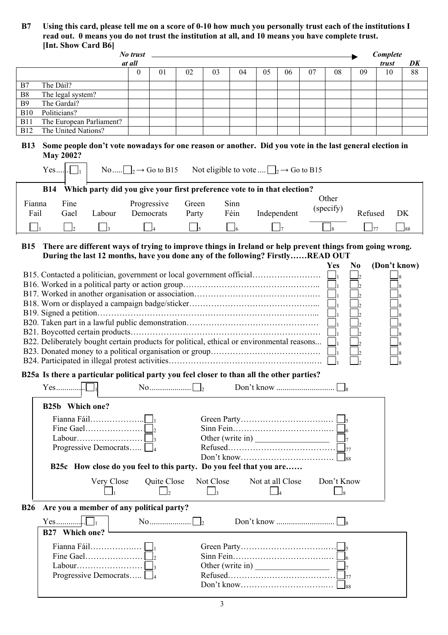**B7 Using this card, please tell me on a score of 0-10 how much you personally trust each of the institutions I read out. 0 means you do not trust the institution at all, and 10 means you have complete trust. [Int. Show Card B6]** 

|                | <b>THE SHOW CARD BOT</b>                                                                                                                                                                   |          |                                                                                                        |                |                       |                                                     |                               |             |                                      |                                          |                |              |                             |
|----------------|--------------------------------------------------------------------------------------------------------------------------------------------------------------------------------------------|----------|--------------------------------------------------------------------------------------------------------|----------------|-----------------------|-----------------------------------------------------|-------------------------------|-------------|--------------------------------------|------------------------------------------|----------------|--------------|-----------------------------|
|                |                                                                                                                                                                                            | No trust |                                                                                                        |                |                       |                                                     |                               |             |                                      |                                          |                | Complete     |                             |
|                |                                                                                                                                                                                            | at all   |                                                                                                        |                |                       |                                                     |                               |             |                                      |                                          |                | trust        | DK                          |
|                |                                                                                                                                                                                            | $\theta$ | 01                                                                                                     | 02             | 03                    | 04                                                  | 05                            | 06          | 07                                   | 08                                       | 09             | 10           | 88                          |
|                | The Dáil?                                                                                                                                                                                  |          |                                                                                                        |                |                       |                                                     |                               |             |                                      |                                          |                |              |                             |
| B7             |                                                                                                                                                                                            |          |                                                                                                        |                |                       |                                                     |                               |             |                                      |                                          |                |              |                             |
| B <sub>8</sub> | The legal system?                                                                                                                                                                          |          |                                                                                                        |                |                       |                                                     |                               |             |                                      |                                          |                |              |                             |
| <b>B</b> 9     | The Gardaí?                                                                                                                                                                                |          |                                                                                                        |                |                       |                                                     |                               |             |                                      |                                          |                |              |                             |
| <b>B10</b>     | Politicians?                                                                                                                                                                               |          |                                                                                                        |                |                       |                                                     |                               |             |                                      |                                          |                |              |                             |
| <b>B11</b>     | The European Parliament?                                                                                                                                                                   |          |                                                                                                        |                |                       |                                                     |                               |             |                                      |                                          |                |              |                             |
| <b>B12</b>     | The United Nations?                                                                                                                                                                        |          |                                                                                                        |                |                       |                                                     |                               |             |                                      |                                          |                |              |                             |
| <b>B13</b>     | Some people don't vote nowadays for one reason or another. Did you vote in the last general election in<br><b>May 2002?</b><br>$Yes . \square_1$                                           |          | No $\Box_2 \rightarrow$ Go to B15                                                                      |                |                       | Not eligible to vote $\Box_2 \rightarrow$ Go to B15 |                               |             |                                      |                                          |                |              |                             |
|                | Which party did you give your first preference vote to in that election?<br><b>B14</b>                                                                                                     |          |                                                                                                        |                |                       |                                                     |                               |             |                                      |                                          |                |              |                             |
|                |                                                                                                                                                                                            |          |                                                                                                        |                |                       |                                                     |                               |             |                                      | Other                                    |                |              |                             |
| Fianna         | Fine                                                                                                                                                                                       |          | Progressive                                                                                            | Green          |                       | Sinn                                                |                               |             |                                      |                                          |                |              |                             |
| Fail           | Gael<br>Labour                                                                                                                                                                             |          | Democrats                                                                                              | Party          |                       | Féin                                                |                               | Independent |                                      | (specify)                                |                | Refused      | DK                          |
|                |                                                                                                                                                                                            |          |                                                                                                        |                |                       |                                                     |                               |             |                                      |                                          |                |              |                             |
|                | $\overline{2}$<br>$\overline{\phantom{a}}$ 3                                                                                                                                               |          | $\vert_4$                                                                                              | $\mathsf{J}_5$ |                       | $\Box$ 6                                            |                               | $\eta$      |                                      | l8.                                      |                | ]77          | $\mathsf{\underline{I}}$ 88 |
|                |                                                                                                                                                                                            |          |                                                                                                        |                |                       |                                                     |                               |             |                                      |                                          |                |              |                             |
| <b>B15</b>     | There are different ways of trying to improve things in Ireland or help prevent things from going wrong.<br>During the last 12 months, have you done any of the following? FirstlyREAD OUT |          |                                                                                                        |                |                       |                                                     |                               |             |                                      |                                          |                |              |                             |
|                |                                                                                                                                                                                            |          |                                                                                                        |                |                       |                                                     |                               |             |                                      | Yes                                      | N <sub>0</sub> | (Don't know) |                             |
|                |                                                                                                                                                                                            |          |                                                                                                        |                |                       |                                                     |                               |             |                                      |                                          |                |              |                             |
|                |                                                                                                                                                                                            |          |                                                                                                        |                |                       |                                                     |                               |             |                                      |                                          |                |              |                             |
|                |                                                                                                                                                                                            |          |                                                                                                        |                |                       |                                                     |                               |             |                                      |                                          |                |              |                             |
|                |                                                                                                                                                                                            |          |                                                                                                        |                |                       |                                                     |                               |             |                                      |                                          |                |              |                             |
|                |                                                                                                                                                                                            |          |                                                                                                        |                |                       |                                                     |                               |             |                                      |                                          |                |              |                             |
|                |                                                                                                                                                                                            |          |                                                                                                        |                |                       |                                                     |                               |             |                                      |                                          |                |              |                             |
|                |                                                                                                                                                                                            |          |                                                                                                        |                |                       |                                                     |                               |             |                                      |                                          |                |              |                             |
|                |                                                                                                                                                                                            |          |                                                                                                        |                |                       |                                                     |                               |             |                                      |                                          |                |              |                             |
|                |                                                                                                                                                                                            |          |                                                                                                        |                |                       |                                                     |                               |             |                                      |                                          |                |              |                             |
|                | B22. Deliberately bought certain products for political, ethical or environmental reasons                                                                                                  |          |                                                                                                        |                |                       |                                                     |                               |             |                                      |                                          |                |              |                             |
|                |                                                                                                                                                                                            |          |                                                                                                        |                |                       |                                                     |                               |             |                                      |                                          |                |              | 8                           |
|                |                                                                                                                                                                                            |          |                                                                                                        |                |                       |                                                     |                               |             |                                      |                                          |                |              |                             |
|                | B25a Is there a particular political party you feel closer to than all the other parties?                                                                                                  |          |                                                                                                        |                |                       |                                                     |                               |             |                                      |                                          |                |              |                             |
|                |                                                                                                                                                                                            |          |                                                                                                        |                |                       |                                                     |                               |             |                                      |                                          |                |              |                             |
|                | B25b Which one?                                                                                                                                                                            |          |                                                                                                        |                |                       |                                                     |                               |             |                                      |                                          |                |              |                             |
|                |                                                                                                                                                                                            |          |                                                                                                        |                |                       |                                                     |                               |             |                                      |                                          |                |              |                             |
|                |                                                                                                                                                                                            |          |                                                                                                        |                |                       |                                                     |                               |             |                                      |                                          |                |              |                             |
|                |                                                                                                                                                                                            |          |                                                                                                        |                |                       |                                                     |                               |             |                                      |                                          |                |              |                             |
|                |                                                                                                                                                                                            |          |                                                                                                        |                |                       |                                                     |                               |             | Other (write in) $\frac{1}{2}$       |                                          |                |              |                             |
|                | Progressive Democrats $\Box$                                                                                                                                                               |          |                                                                                                        |                |                       |                                                     |                               |             |                                      |                                          |                |              |                             |
|                |                                                                                                                                                                                            |          |                                                                                                        |                |                       |                                                     |                               |             |                                      |                                          |                |              |                             |
|                | B25c How close do you feel to this party. Do you feel that you are                                                                                                                         |          |                                                                                                        |                |                       |                                                     |                               |             |                                      |                                          |                |              |                             |
|                | Very Close                                                                                                                                                                                 |          | Quite Close<br>$\vert$ <sub>2</sub>                                                                    |                | Not Close<br>$\Box$ 3 |                                                     | Not at all Close<br>$\vert$ 4 |             |                                      | Don't Know<br>$\overline{\phantom{0}}$ 8 |                |              |                             |
|                |                                                                                                                                                                                            |          |                                                                                                        |                |                       |                                                     |                               |             |                                      |                                          |                |              |                             |
| <b>B26</b>     | Are you a member of any political party?                                                                                                                                                   |          |                                                                                                        |                |                       |                                                     |                               |             |                                      |                                          |                |              |                             |
|                | B27 Which one?                                                                                                                                                                             |          | $\begin{array}{c} \mathbf{No} \dots \dots \dots \dots \dots \dots \dots \dots \dots \dots \end{array}$ |                |                       |                                                     |                               |             |                                      |                                          |                |              |                             |
|                |                                                                                                                                                                                            |          |                                                                                                        |                |                       |                                                     |                               |             |                                      |                                          |                |              |                             |
|                |                                                                                                                                                                                            |          |                                                                                                        |                |                       |                                                     |                               |             |                                      |                                          |                |              |                             |
|                |                                                                                                                                                                                            |          |                                                                                                        |                |                       |                                                     |                               |             |                                      |                                          |                |              |                             |
|                |                                                                                                                                                                                            |          |                                                                                                        |                |                       |                                                     |                               |             | Other (write in) $\frac{\Box}{\Box}$ |                                          |                |              |                             |
|                |                                                                                                                                                                                            |          |                                                                                                        |                |                       |                                                     |                               |             |                                      |                                          |                |              |                             |
|                | Progressive Democrats $\Box$                                                                                                                                                               |          |                                                                                                        |                |                       |                                                     |                               |             |                                      |                                          |                |              |                             |
|                |                                                                                                                                                                                            |          |                                                                                                        |                |                       |                                                     |                               |             |                                      |                                          |                |              |                             |
|                |                                                                                                                                                                                            |          |                                                                                                        |                |                       |                                                     |                               |             |                                      |                                          |                |              |                             |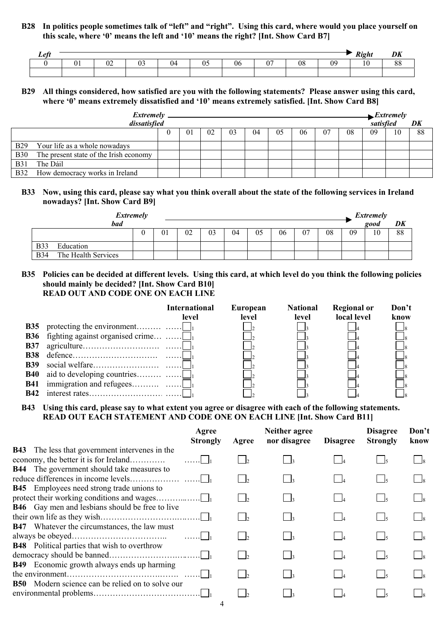**B28 In politics people sometimes talk of "left" and "right". Using this card, where would you place yourself on this scale, where '0' means the left and '10' means the right? [Int. Show Card B7]** 

| of |                     |     |  |     |                          |         | $\mathbf{n}$ : |                |
|----|---------------------|-----|--|-----|--------------------------|---------|----------------|----------------|
|    | $\sim$ $\sim$<br>,, | . . |  | IJt | $\overline{\phantom{0}}$ | ∩⊆<br>ĸ |                | $\Omega$<br>00 |
|    |                     |     |  |     |                          |         |                |                |

#### **B29 All things considered, how satisfied are you with the following statements? Please answer using this card, where '0' means extremely dissatisfied and '10' means extremely satisfied. [Int. Show Card B8]**

|             | <i>Extremely</i>                       |                |    |    |    |    |    |    |    |    | $\rightarrow$ <i>Extremely</i><br>satisfied |    |
|-------------|----------------------------------------|----------------|----|----|----|----|----|----|----|----|---------------------------------------------|----|
|             | dissatisfied                           |                |    |    |    |    |    |    |    |    |                                             | DK |
|             |                                        | 0 <sub>1</sub> | 02 | 03 | 04 | 05 | 06 | 07 | 08 | 09 | 10                                          | 88 |
| <b>B29</b>  | Your life as a whole nowadays          |                |    |    |    |    |    |    |    |    |                                             |    |
| <b>B30</b>  | The present state of the Irish economy |                |    |    |    |    |    |    |    |    |                                             |    |
| <b>B</b> 31 | The Dáil                               |                |    |    |    |    |    |    |    |    |                                             |    |
| <b>B32</b>  | How democracy works in Ireland         |                |    |    |    |    |    |    |    |    |                                             |    |

## **B33 Now, using this card, please say what you think overall about the state of the following services in Ireland nowadays? [Int. Show Card B9]**

| Extremely                          |    |    |    |    |    |    |    |    |    | Extremely |    |
|------------------------------------|----|----|----|----|----|----|----|----|----|-----------|----|
| <b>bad</b>                         |    |    |    |    |    |    |    |    |    | good      | DK |
|                                    | 01 | 02 | 03 | 04 | 05 | 06 | 07 | 08 | 09 | 10        | 88 |
| <b>B33</b><br>Education            |    |    |    |    |    |    |    |    |    |           |    |
| The Health Services<br><b>B</b> 34 |    |    |    |    |    |    |    |    |    |           |    |

**B35 Policies can be decided at different levels. Using this card, at which level do you think the following policies should mainly be decided? [Int. Show Card B10] READ OUT AND CODE ONE ON EACH LINE** 

|            |                                             | International<br>level | European<br>level | <b>National</b><br>level | <b>Regional or</b><br>local level | Don't<br>know |
|------------|---------------------------------------------|------------------------|-------------------|--------------------------|-----------------------------------|---------------|
| <b>B35</b> |                                             |                        |                   |                          |                                   |               |
|            | <b>B36</b> fighting against organised crime |                        |                   |                          |                                   |               |
|            |                                             |                        |                   |                          |                                   |               |
| <b>B38</b> |                                             |                        |                   |                          |                                   |               |
| <b>B39</b> |                                             |                        |                   |                          |                                   |               |
|            |                                             |                        |                   |                          |                                   |               |
|            |                                             |                        |                   |                          |                                   |               |
| <b>B42</b> |                                             |                        |                   |                          |                                   |               |

**B43 Using this card, please say to what extent you agree or disagree with each of the following statements. READ OUT EACH STATEMENT AND CODE ONE ON EACH LINE [Int. Show Card B11]** 

|                                                                                                | Agree<br><b>Strongly</b> | Agree        | Neither agree<br>nor disagree | <b>Disagree</b> | <b>Disagree</b><br><b>Strongly</b> | Don't<br>know |
|------------------------------------------------------------------------------------------------|--------------------------|--------------|-------------------------------|-----------------|------------------------------------|---------------|
| <b>B43</b> The less that government intervenes in the<br>economy, the better it is for Ireland | . 1                      | I٥           |                               |                 |                                    |               |
| <b>B44</b> The government should take measures to                                              |                          | $\mathsf{L}$ |                               |                 |                                    |               |
| <b>B45</b> Employees need strong trade unions to                                               |                          | $\mathsf{L}$ |                               |                 |                                    |               |
| <b>B46</b> Gay men and lesbians should be free to live                                         |                          | $\mathsf{L}$ |                               |                 |                                    |               |
| <b>B47</b> Whatever the circumstances, the law must                                            |                          | $\mathsf{L}$ |                               |                 | $\vert \cdot \vert$                |               |
| <b>B48</b> Political parties that wish to overthrow                                            |                          |              |                               |                 | $\frac{1}{5}$                      |               |
| <b>B49</b> Economic growth always ends up harming                                              |                          |              |                               |                 |                                    |               |
| <b>B50</b> Modern science can be relied on to solve our                                        |                          |              |                               |                 |                                    |               |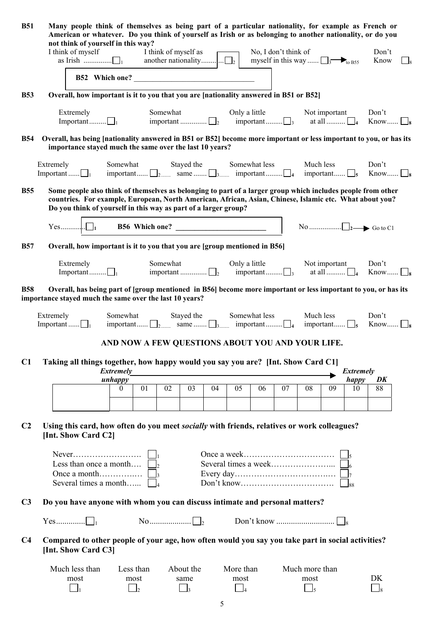| <b>B51</b>     |                                            | Many people think of themselves as being part of a particular nationality, for example as French or<br>American or whatever. Do you think of yourself as Irish or as belonging to another nationality, or do you<br>not think of yourself in this way?                                     |                                                                                    |                           |    |                   |                                                                          |                                                         |                      |    |                                                            |    |                  |                                                                                                                                                               |  |
|----------------|--------------------------------------------|--------------------------------------------------------------------------------------------------------------------------------------------------------------------------------------------------------------------------------------------------------------------------------------------|------------------------------------------------------------------------------------|---------------------------|----|-------------------|--------------------------------------------------------------------------|---------------------------------------------------------|----------------------|----|------------------------------------------------------------|----|------------------|---------------------------------------------------------------------------------------------------------------------------------------------------------------|--|
|                |                                            | I think of myself                                                                                                                                                                                                                                                                          |                                                                                    |                           |    |                   |                                                                          |                                                         | No, I don't think of |    | myself in this way $\Box$ <sub>3</sub> t <sub>to B55</sub> |    |                  | Don't<br>Know                                                                                                                                                 |  |
|                |                                            | B52 Which one?                                                                                                                                                                                                                                                                             |                                                                                    |                           |    |                   |                                                                          |                                                         |                      |    |                                                            |    |                  |                                                                                                                                                               |  |
| <b>B53</b>     |                                            | Overall, how important is it to you that you are [nationality answered in B51 or B52]                                                                                                                                                                                                      |                                                                                    |                           |    |                   |                                                                          |                                                         |                      |    |                                                            |    |                  |                                                                                                                                                               |  |
|                |                                            | Extremely<br>Important $\Box_1$                                                                                                                                                                                                                                                            |                                                                                    |                           |    |                   |                                                                          |                                                         |                      |    |                                                            |    |                  | Somewhat Only a little Not important Don't<br>important $\Box_2$ important $\Box_3$ at all $\Box_4$ Know $\Box_8$                                             |  |
| <b>B54</b>     |                                            | Overall, has being [nationality answered in B51 or B52] become more important or less important to you, or has its<br>importance stayed much the same over the last 10 years?                                                                                                              |                                                                                    |                           |    |                   |                                                                          |                                                         |                      |    |                                                            |    |                  |                                                                                                                                                               |  |
|                |                                            | Extremely<br>Important $\Box_1$ important $\Box_2$ same $\Box_3$ important $\Box_4$ important $\Box_5$ Know $\Box_8$                                                                                                                                                                       | Somewhat Stayed the Somewhat less Much less                                        |                           |    |                   |                                                                          |                                                         |                      |    |                                                            |    |                  | Don't                                                                                                                                                         |  |
| <b>B55</b>     |                                            | Some people also think of themselves as belonging to part of a larger group which includes people from other<br>countries. For example, European, North American, African, Asian, Chinese, Islamic etc. What about you?<br>Do you think of yourself in this way as part of a larger group? |                                                                                    |                           |    |                   |                                                                          |                                                         |                      |    |                                                            |    |                  |                                                                                                                                                               |  |
|                |                                            |                                                                                                                                                                                                                                                                                            |                                                                                    |                           |    |                   |                                                                          |                                                         |                      |    |                                                            |    |                  |                                                                                                                                                               |  |
| <b>B57</b>     |                                            | Overall, how important is it to you that you are [group mentioned in B56]                                                                                                                                                                                                                  |                                                                                    |                           |    |                   |                                                                          |                                                         |                      |    |                                                            |    |                  |                                                                                                                                                               |  |
|                |                                            |                                                                                                                                                                                                                                                                                            |                                                                                    |                           |    |                   |                                                                          |                                                         |                      |    |                                                            |    |                  | Only a little<br>important $\Box$ , $\Box$ , at all $\Box$ , $\Box$ , $\Box$ , $\Box$ , $\Box$ , $\Box$ , $\Box$ , $\Box$ , $\Box$ , $\Box$ , $\Box$ , $\Box$ |  |
| <b>B58</b>     |                                            | Overall, has being part of [group mentioned in B56] become more important or less important to you, or has its<br>importance stayed much the same over the last 10 years?                                                                                                                  |                                                                                    |                           |    |                   |                                                                          |                                                         |                      |    |                                                            |    |                  |                                                                                                                                                               |  |
|                | Extremely<br>Important $\Box$ <sub>1</sub> |                                                                                                                                                                                                                                                                                            | Somewhat<br>important $\Box_2$ same $\Box_3$ important $\Box_4$ important $\Box_5$ |                           |    |                   | Stayed the                                                               |                                                         | Somewhat less        |    | Much less                                                  |    |                  | Don't<br>Know $\Box$                                                                                                                                          |  |
|                |                                            |                                                                                                                                                                                                                                                                                            | AND NOW A FEW QUESTIONS ABOUT YOU AND YOUR LIFE.                                   |                           |    |                   |                                                                          |                                                         |                      |    |                                                            |    |                  |                                                                                                                                                               |  |
| C1             |                                            | Taking all things together, how happy would you say you are? [Int. Show Card C1]                                                                                                                                                                                                           | <b>Extremely</b>                                                                   |                           |    |                   |                                                                          |                                                         |                      |    |                                                            |    | <b>Extremely</b> |                                                                                                                                                               |  |
|                |                                            |                                                                                                                                                                                                                                                                                            | unhappy<br>$\overline{0}$                                                          | 01                        | 02 | 03                | 04                                                                       | 05                                                      | 06                   | 07 | 08                                                         | 09 | happy<br>10      | DK<br>88                                                                                                                                                      |  |
|                |                                            |                                                                                                                                                                                                                                                                                            |                                                                                    |                           |    |                   |                                                                          |                                                         |                      |    |                                                            |    |                  |                                                                                                                                                               |  |
| C <sub>2</sub> |                                            | Using this card, how often do you meet <i>socially</i> with friends, relatives or work colleagues?<br>[Int. Show Card C2]                                                                                                                                                                  |                                                                                    |                           |    |                   |                                                                          |                                                         |                      |    |                                                            |    |                  |                                                                                                                                                               |  |
|                |                                            |                                                                                                                                                                                                                                                                                            |                                                                                    |                           |    |                   |                                                                          |                                                         |                      |    |                                                            |    |                  |                                                                                                                                                               |  |
|                |                                            | Less than once a month                                                                                                                                                                                                                                                                     |                                                                                    |                           |    |                   |                                                                          |                                                         |                      |    |                                                            |    |                  |                                                                                                                                                               |  |
|                |                                            | Several times a month                                                                                                                                                                                                                                                                      |                                                                                    |                           |    |                   | $Don't know \dots \dots \dots \dots \dots \dots \dots \dots \dots \dots$ |                                                         |                      |    |                                                            |    | lss.             |                                                                                                                                                               |  |
| C <sub>3</sub> |                                            | Do you have anyone with whom you can discuss intimate and personal matters?                                                                                                                                                                                                                |                                                                                    |                           |    |                   |                                                                          |                                                         |                      |    |                                                            |    |                  |                                                                                                                                                               |  |
|                |                                            |                                                                                                                                                                                                                                                                                            |                                                                                    |                           |    |                   |                                                                          |                                                         |                      |    |                                                            |    |                  |                                                                                                                                                               |  |
| C <sub>4</sub> |                                            | Compared to other people of your age, how often would you say you take part in social activities?<br>[Int. Show Card C3]                                                                                                                                                                   |                                                                                    |                           |    |                   |                                                                          |                                                         |                      |    |                                                            |    |                  |                                                                                                                                                               |  |
|                |                                            | Much less than                                                                                                                                                                                                                                                                             |                                                                                    | Less than                 |    | About the         |                                                                          | More than                                               |                      |    | Much more than                                             |    |                  |                                                                                                                                                               |  |
|                |                                            | most<br>$\perp$                                                                                                                                                                                                                                                                            |                                                                                    | most<br>$\vert$ $\vert$ 2 |    | same<br>$\vert$ 3 |                                                                          | most<br>$\begin{array}{ c c c c c } \hline \end{array}$ |                      |    | most<br>$\frac{1}{5}$                                      |    |                  | DK<br>$\Box$                                                                                                                                                  |  |
|                |                                            |                                                                                                                                                                                                                                                                                            |                                                                                    |                           |    |                   | 5                                                                        |                                                         |                      |    |                                                            |    |                  |                                                                                                                                                               |  |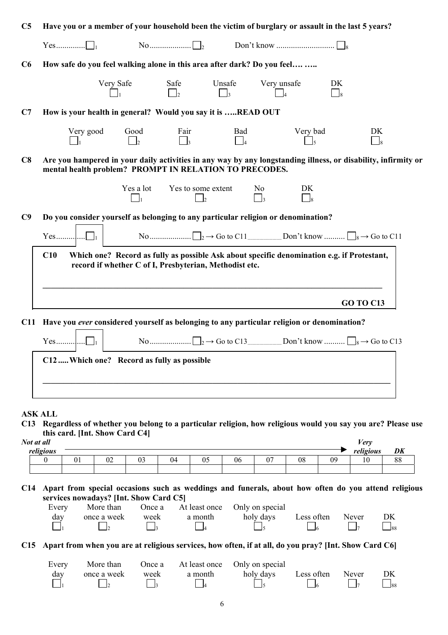| C <sub>5</sub> | Have you or a member of your household been the victim of burglary or assault in the last 5 years?                                                                      |                             |                                                                                                                                                      |                                      |                            |                                  |                  |  |
|----------------|-------------------------------------------------------------------------------------------------------------------------------------------------------------------------|-----------------------------|------------------------------------------------------------------------------------------------------------------------------------------------------|--------------------------------------|----------------------------|----------------------------------|------------------|--|
|                |                                                                                                                                                                         |                             |                                                                                                                                                      |                                      |                            |                                  |                  |  |
| C6             | How safe do you feel walking alone in this area after dark? Do you feel                                                                                                 |                             |                                                                                                                                                      |                                      |                            |                                  |                  |  |
|                |                                                                                                                                                                         | Very Safe                   | Safe                                                                                                                                                 | Unsafe<br>$\overline{\phantom{a}}$ 3 | Very unsafe                | DK<br>$\overline{\phantom{0}}^8$ |                  |  |
| C7             | How is your health in general? Would you say it is READ OUT                                                                                                             |                             |                                                                                                                                                      |                                      |                            |                                  |                  |  |
|                | Very good                                                                                                                                                               | Good<br>$\Box$ <sub>2</sub> | Fair<br>$\vert \vert_3$                                                                                                                              | Bad<br>$\Box_4$                      |                            | Very bad                         | DK<br>$\Box_8$   |  |
| C8             | Are you hampered in your daily activities in any way by any longstanding illness, or disability, infirmity or<br>mental health problem? PROMPT IN RELATION TO PRECODES. |                             |                                                                                                                                                      |                                      |                            |                                  |                  |  |
|                |                                                                                                                                                                         | Yes a lot<br>$\Box_1$       | Yes to some extent<br>$\overline{\phantom{a}}$                                                                                                       |                                      | N <sub>0</sub><br>$\Box$ 3 | DK<br>$\Box_8$                   |                  |  |
| C <sub>9</sub> | Do you consider yourself as belonging to any particular religion or denomination?                                                                                       |                             |                                                                                                                                                      |                                      |                            |                                  |                  |  |
|                |                                                                                                                                                                         |                             |                                                                                                                                                      |                                      |                            |                                  |                  |  |
|                | C10                                                                                                                                                                     |                             | Which one? Record as fully as possible Ask about specific denomination e.g. if Protestant,<br>record if whether C of I, Presbyterian, Methodist etc. |                                      |                            |                                  |                  |  |
|                |                                                                                                                                                                         |                             | <u> 1989 - Johann Stoff, deutscher Stoff, der Stoff, der Stoff, der Stoff, der Stoff, der Stoff, der Stoff, der S</u>                                |                                      |                            |                                  | <b>GO TO C13</b> |  |
| C11            | Have you ever considered yourself as belonging to any particular religion or denomination?                                                                              |                             |                                                                                                                                                      |                                      |                            |                                  |                  |  |
|                |                                                                                                                                                                         |                             |                                                                                                                                                      |                                      |                            |                                  |                  |  |
|                | C12  Which one? Record as fully as possible                                                                                                                             |                             |                                                                                                                                                      |                                      |                            |                                  |                  |  |
|                |                                                                                                                                                                         |                             |                                                                                                                                                      |                                      |                            |                                  |                  |  |

#### **ASK ALL**

**C13 Regardless of whether you belong to a particular religion, how religious would you say you are? Please use this card. [Int. Show Card C4]** 

| Not at all |              |                     |    |  |    |    |                |    |    | T<br>∕erv |    |  |
|------------|--------------|---------------------|----|--|----|----|----------------|----|----|-----------|----|--|
| religious  |              |                     |    |  |    |    |                |    |    | religious | DK |  |
|            | $\sim$<br>UΙ | $\sim$ $\sim$<br>UZ | 03 |  | v. | 06 | $\mathbf{v}$ . | 08 | 09 | ۱0        | 88 |  |
|            |              |                     |    |  |    |    |                |    |    |           |    |  |

**C14 Apart from special occasions such as weddings and funerals, about how often do you attend religious services nowadays? [Int. Show Card C5]** 

| Every | More than   | Once a |         | At least once Only on special |            |       |       |
|-------|-------------|--------|---------|-------------------------------|------------|-------|-------|
| day   | once a week | week   | a month | holy days                     | Less often | Never | DK.   |
|       |             |        |         |                               |            |       | $-88$ |

**C15 Apart from when you are at religious services, how often, if at all, do you pray? [Int. Show Card C6]** 

| Every | More than    |      |         | Once a At least once Only on special |            |                 |    |
|-------|--------------|------|---------|--------------------------------------|------------|-----------------|----|
| day   | once a week  | week | a month | holy days                            | Less often | Never           | DK |
|       | $\mathsf{L}$ |      |         |                                      |            | $\vert \vert_7$ |    |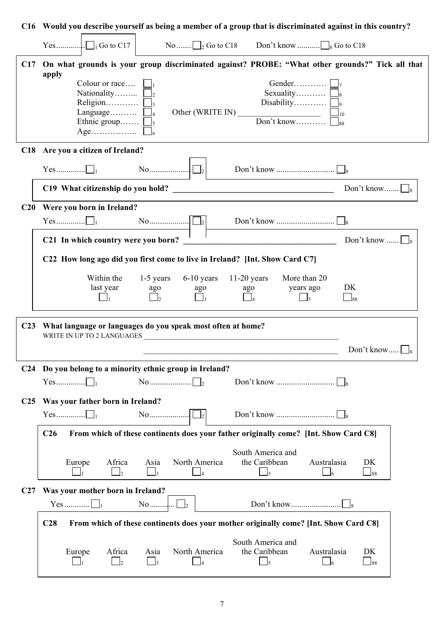|                 | C16 Would you describe yourself as being a member of a group that is discriminated against in this country?                                                                                        |
|-----------------|----------------------------------------------------------------------------------------------------------------------------------------------------------------------------------------------------|
|                 |                                                                                                                                                                                                    |
| C17             | On what grounds is your group discriminated against? PROBE: "What other grounds?" Tick all that<br>apply                                                                                           |
|                 | Colour or race<br>Gender<br>Nationality<br>Sexuality $\Box$<br>Religion $\Box$ <sub>3</sub><br>Disability<br>Language $\Box$<br>Ethnic group $\Box$ <sub>5</sub>                                   |
|                 | C18 Are you a citizen of Ireland?                                                                                                                                                                  |
|                 | No $\Box$                                                                                                                                                                                          |
|                 | Don't know $\Box$<br>C19 What citizenship do you hold?                                                                                                                                             |
|                 | C20 Were you born in Ireland?                                                                                                                                                                      |
|                 |                                                                                                                                                                                                    |
|                 | C21 In which country were you born?<br>Don't know $\Box$                                                                                                                                           |
|                 | C22 How long ago did you first come to live in Ireland? [Int. Show Card C7]                                                                                                                        |
|                 | Within the<br>$1-5$ years<br>$6-10$ years $11-20$ years<br>More than 20<br>DK<br>last year<br>years ago<br>ago                                                                                     |
|                 | ago<br>ago<br>$\Box$ <sub>88</sub><br>$\Box_5$                                                                                                                                                     |
| C <sub>23</sub> | What language or languages do you speak most often at home?<br>WRITE IN UP TO 2 LANGUAGES                                                                                                          |
|                 | Don't know                                                                                                                                                                                         |
| C <sub>24</sub> | Do you belong to a minority ethnic group in Ireland?                                                                                                                                               |
|                 | $\rm No$                                                                                                                                                                                           |
| C <sub>25</sub> | Was your father born in Ireland?                                                                                                                                                                   |
|                 | $\begin{bmatrix} \begin{array}{c} \text{No} \end{array} \end{bmatrix}$                                                                                                                             |
|                 | From which of these continents does your father originally come? [Int. Show Card C8]<br>C <sub>26</sub>                                                                                            |
|                 | South America and<br>Africa<br>North America<br>the Caribbean<br>Australasia<br>Asia<br>DK<br>Europe<br>$\Box$ <sub>5</sub><br>$\Box$ 3<br>$\overline{2}$<br>$\Box$ 88<br>$\mathsf{\overline{16}}$ |
| C27             | Was your mother born in Ireland?                                                                                                                                                                   |
|                 | No                                                                                                                                                                                                 |
|                 | From which of these continents does your mother originally come? [Int. Show Card C8]<br>C <sub>28</sub>                                                                                            |
|                 | South America and<br>Africa<br>North America<br>the Caribbean<br>Australasia<br>Europe<br>Asia<br>DK                                                                                               |
|                 | $\vert$ $\vert_5$<br>$\overline{\mathbf{3}}$<br>$\Box$ 88<br>$\mathsf{I}$                                                                                                                          |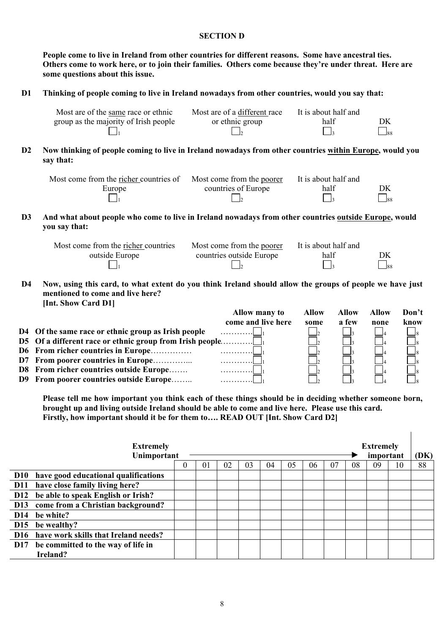#### **SECTION D**

 **People come to live in Ireland from other countries for different reasons. Some have ancestral ties. Others come to work here, or to join their families. Others come because they're under threat. Here are some questions about this issue.** 

## **D1 Thinking of people coming to live in Ireland nowadays from other countries, would you say that:**

| Most are of the same race or ethnic   | Most are of a different race | It is about half and |             |
|---------------------------------------|------------------------------|----------------------|-------------|
| group as the majority of Irish people | or ethnic group              | half                 | DK          |
|                                       |                              |                      | $\Box_{88}$ |

**D2 Now thinking of people coming to live in Ireland nowadays from other countries within Europe, would you say that:** 

| Most come from the richer countries of | Most come from the poorer | It is about half and |                 |
|----------------------------------------|---------------------------|----------------------|-----------------|
| Europe                                 | countries of Europe       | half                 | DK              |
|                                        |                           |                      | $\mathsf{I}$ 88 |

**D3 And what about people who come to live in Ireland nowadays from other countries outside Europe, would you say that:** 

| Most come from the richer countries | Most come from the poorer | It is about half and |           |
|-------------------------------------|---------------------------|----------------------|-----------|
| outside Europe                      | countries outside Europe  | half                 | DK        |
|                                     |                           |                      | $\Box$ 88 |

**D4 Now, using this card, to what extent do you think Ireland should allow the groups of people we have just mentioned to come and live here? [Int. Show Card D1]** 

|                                                     | <b>Allow many to</b> | Allow | Allow | Allow | Don't |
|-----------------------------------------------------|----------------------|-------|-------|-------|-------|
|                                                     | come and live here   | some  | a few | none  | know  |
| D4 Of the same race or ethnic group as Irish people | .                    |       |       |       |       |
|                                                     |                      |       |       |       |       |
| D6 From richer countries in Europe                  |                      |       |       |       |       |
| D7 From poorer countries in Europe                  | .                    |       |       |       |       |
| D8 From richer countries outside Europe             |                      |       |       |       |       |
| D9 From poorer countries outside Europe             |                      |       |       |       |       |

 **Please tell me how important you think each of these things should be in deciding whether someone born, brought up and living outside Ireland should be able to come and live here. Please use this card. Firstly, how important should it be for them to…. READ OUT [Int. Show Card D2]** 

 $\overline{1}$ 

|            | <b>Extremely</b><br>Unimportant          |          |    |    |    |    |    |    |    | <b>Extremely</b><br>important |    |    |    |
|------------|------------------------------------------|----------|----|----|----|----|----|----|----|-------------------------------|----|----|----|
|            |                                          | $\theta$ | 01 | 02 | 03 | 04 | 05 | 06 | 07 | 08                            | 09 | 10 | 88 |
|            | D10 have good educational qualifications |          |    |    |    |    |    |    |    |                               |    |    |    |
| <b>D11</b> | have close family living here?           |          |    |    |    |    |    |    |    |                               |    |    |    |
|            | D12 be able to speak English or Irish?   |          |    |    |    |    |    |    |    |                               |    |    |    |
| <b>D13</b> | come from a Christian background?        |          |    |    |    |    |    |    |    |                               |    |    |    |
| <b>D14</b> | be white?                                |          |    |    |    |    |    |    |    |                               |    |    |    |
|            | D15 be wealthy?                          |          |    |    |    |    |    |    |    |                               |    |    |    |
|            | D16 have work skills that Ireland needs? |          |    |    |    |    |    |    |    |                               |    |    |    |
| <b>D17</b> | be committed to the way of life in       |          |    |    |    |    |    |    |    |                               |    |    |    |
|            | Ireland?                                 |          |    |    |    |    |    |    |    |                               |    |    |    |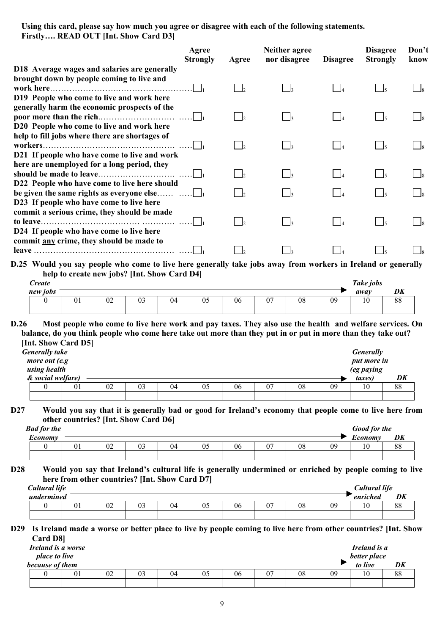**Using this card, please say how much you agree or disagree with each of the following statements. Firstly…. READ OUT [Int. Show Card D3]** 

|                                                                                                           | Agree<br><b>Strongly</b><br>Agree | Neither agree<br>nor disagree | <b>Disagree</b> | <b>Disagree</b><br><b>Strongly</b> | Don't<br>know |
|-----------------------------------------------------------------------------------------------------------|-----------------------------------|-------------------------------|-----------------|------------------------------------|---------------|
| D18 Average wages and salaries are generally                                                              |                                   |                               |                 |                                    |               |
| brought down by people coming to live and                                                                 |                                   |                               |                 | $\frac{1}{5}$                      |               |
| D19 People who come to live and work here                                                                 |                                   |                               |                 |                                    |               |
| generally harm the economic prospects of the<br>poor more than the rich                                   | $\mathsf{L}$                      |                               |                 |                                    |               |
| D20 People who come to live and work here                                                                 |                                   |                               |                 |                                    |               |
| help to fill jobs where there are shortages of<br>workers<br>D21 If people who have come to live and work | $\mathsf{L}$                      |                               |                 |                                    |               |
| here are unemployed for a long period, they                                                               |                                   |                               |                 |                                    |               |
| should be made to leave                                                                                   | $\vert \cdot \vert$               |                               |                 |                                    |               |
| D22 People who have come to live here should                                                              |                                   |                               |                 |                                    |               |
| be given the same rights as everyone else $\dots \dots \dots$                                             | $\vert \cdot \vert$               | I٩                            |                 | $\vert$ $\vert$ 5                  |               |
| D23 If people who have come to live here<br>commit a serious crime, they should be made                   |                                   |                               |                 |                                    |               |
| to leave.                                                                                                 |                                   |                               |                 |                                    |               |
| D24 If people who have come to live here<br>commit any crime, they should be made to                      |                                   |                               |                 |                                    |               |
|                                                                                                           |                                   |                               |                 |                                    |               |
|                                                                                                           |                                   |                               |                 |                                    |               |

**D.25 Would you say people who come to live here generally take jobs away from workers in Ireland or generally help to create new jobs? [Int. Show Card D4]** 

| <b>Create</b> |    |    |              |    |                     |    |        |    |    | Take jobs     |                |
|---------------|----|----|--------------|----|---------------------|----|--------|----|----|---------------|----------------|
| new jobs      |    |    |              |    |                     |    |        |    |    | away          | DK             |
|               | UI | 02 | $\sim$<br>U3 | 04 | $\sim$ $\sim$<br>U5 | 06 | $\sim$ | 08 | 09 | $\sim$<br>1 Ο | $\Omega$<br>00 |
|               |    |    |              |    |                     |    |        |    |    |               |                |

**D.26 Most people who come to live here work and pay taxes. They also use the health and welfare services. On balance, do you think people who come here take out more than they put in or put in more than they take out? [Int. Show Card D5]** 

| <b>Generally take</b><br>more out (e.g<br>using health<br>& social welfare) |    |    |    |    |    |    |    |    |    | <b>Generally</b><br>put more in<br>(eg paying<br>taxes) | DK |
|-----------------------------------------------------------------------------|----|----|----|----|----|----|----|----|----|---------------------------------------------------------|----|
|                                                                             | 01 | 02 | 03 | 04 | 05 | 06 | 07 | 08 | 09 | 10                                                      | 88 |
|                                                                             |    |    |    |    |    |    |    |    |    |                                                         |    |

**D27 Would you say that it is generally bad or good for Ireland's economy that people come to live here from other countries? [Int. Show Card D6]** 

| <b>Bad for the</b>           |    |    |          |    |    |    |             |    |    | Good for the |                |
|------------------------------|----|----|----------|----|----|----|-------------|----|----|--------------|----------------|
| −<br>$\mathcal{L}$ conom $v$ |    |    |          |    |    |    |             |    |    | Economy      | DK             |
|                              | 01 | 02 | ∩า<br>U3 | 94 | v. | 06 | $\sim$<br>U | 08 | 09 | 10           | $\Omega$<br>00 |
|                              |    |    |          |    |    |    |             |    |    |              |                |

**D28 Would you say that Ireland's cultural life is generally undermined or enriched by people coming to live here from other countries? [Int. Show Card D7]** 

| Cultural life |       |    |   |    |    |    |    |    | C <b>ultural life</b> |          |
|---------------|-------|----|---|----|----|----|----|----|-----------------------|----------|
| undermined    |       |    |   |    |    |    |    |    | . .<br>enriched       | DK       |
|               | $U_1$ | UŻ | J | v. | 06 | 07 | 08 | 09 | 10                    | oο<br>٥o |
|               |       |    |   |    |    |    |    |    |                       |          |

### **D29 Is Ireland made a worse or better place to live by people coming to live here from other countries? [Int. Show Card D8]**

| Ireland is a worse<br><i>place to live</i> |    |    |    |    |    |    |    |    |    | Ireland is a<br>better place |    |
|--------------------------------------------|----|----|----|----|----|----|----|----|----|------------------------------|----|
| because of them                            |    |    |    |    |    |    |    |    |    | to live                      | DK |
|                                            | 01 | 02 | 03 | 04 | 05 | 06 | 07 | 08 | 09 | 10                           | 88 |
|                                            |    |    |    |    |    |    |    |    |    |                              |    |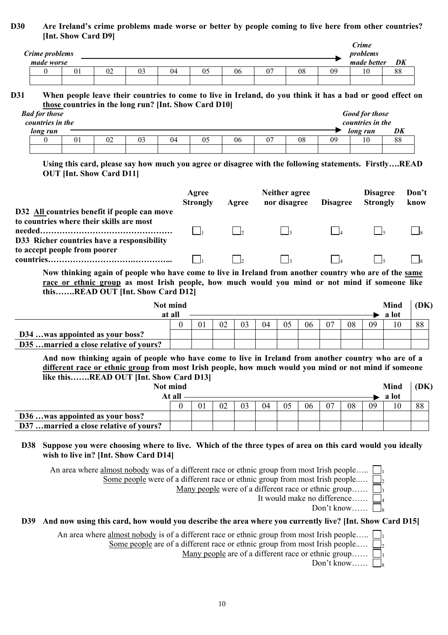## **D30 Are Ireland's crime problems made worse or better by people coming to live here from other countries? [Int. Show Card D9]**

| Crime problems<br>made worse |    |             |    |    |    |    |    | Crime<br>problems<br>made better | DK             |
|------------------------------|----|-------------|----|----|----|----|----|----------------------------------|----------------|
|                              | 02 | $\sim$<br>U | 04 | 06 | 07 | 08 | 09 | 10                               | $\Omega$<br>δð |
|                              |    |             |    |    |    |    |    |                                  |                |

## **D31 When people leave their countries to come to live in Ireland, do you think it has a bad or good effect on those countries in the long run? [Int. Show Card D10]**

| <b>Bad for those</b><br>countries in the |                |    |    |    |    |    |    | <b>Good for those</b><br>countries in the |    |
|------------------------------------------|----------------|----|----|----|----|----|----|-------------------------------------------|----|
| long run                                 |                |    |    |    |    |    |    | long run                                  | DK |
|                                          | 0 <sub>1</sub> | 02 | 03 | 04 | 06 | 08 | 09 | 10                                        | 88 |
|                                          |                |    |    |    |    |    |    |                                           |    |

 **Using this card, please say how much you agree or disagree with the following statements. Firstly….READ OUT [Int. Show Card D11]** 

|                                                                                                        | Agree<br><b>Strongly</b> | Agree | Neither agree<br>nor disagree | <b>Disagree</b> | <b>Disagree</b><br><b>Strongly</b> | Don't<br>know |
|--------------------------------------------------------------------------------------------------------|--------------------------|-------|-------------------------------|-----------------|------------------------------------|---------------|
| D32 All countries benefit if people can move                                                           |                          |       |                               |                 |                                    |               |
| to countries where their skills are most                                                               |                          |       |                               |                 |                                    |               |
| D33 Richer countries have a responsibility                                                             |                          |       |                               |                 |                                    |               |
| to accept people from poorer                                                                           |                          |       |                               |                 |                                    |               |
| Now thinking again of people who have come to live in Ireland from another country who are of the same |                          |       |                               |                 |                                    |               |
| race or ethnic group as most Irish people, how much would you mind or not mind if someone like         |                          |       |                               |                 |                                    |               |
| thisREAD OUT [Int. Show Card D12]                                                                      |                          |       |                               |                 |                                    |               |

|                                       | Not mind |                |    |    |    |    |    |    |    | <b>Mind</b> | (DK) |
|---------------------------------------|----------|----------------|----|----|----|----|----|----|----|-------------|------|
|                                       | at all   |                |    |    |    |    |    |    |    | a lot       |      |
|                                       |          | 0 <sup>1</sup> | 03 | 04 | 05 | 06 | 07 | 08 | 09 | 10          | 88   |
| D34 was appointed as your boss?       |          |                |    |    |    |    |    |    |    |             |      |
| D35married a close relative of yours? |          |                |    |    |    |    |    |    |    |             |      |

 **And now thinking again of people who have come to live in Ireland from another country who are of a different race or ethnic group from most Irish people, how much would you mind or not mind if someone like this…….READ OUT [Int. Show Card D13]** 

|                                        | Not mind |    |    |    |    |     |    |    | <b>Mind</b> | (DK) |
|----------------------------------------|----------|----|----|----|----|-----|----|----|-------------|------|
|                                        | At all   |    |    |    |    |     |    |    | a lot       |      |
|                                        |          | 02 | 04 | 05 | 06 | -07 | 08 | 09 | 10          | 88   |
| D36was appointed as your boss?         |          |    |    |    |    |     |    |    |             |      |
| D37 married a close relative of yours? |          |    |    |    |    |     |    |    |             |      |

# **D38 Suppose you were choosing where to live. Which of the three types of area on this card would you ideally wish to live in? [Int. Show Card D14]**

An area where almost nobody was of a different race or ethnic group from most Irish people.....  $\Box$ 

Some people were of a different race or ethnic group from most Irish people.....  $\Box$ 

Many people were of a different race or ethnic group......  $\Box$ <sub>3</sub>

It would make no difference……  $\Box$ 

Don't know……  $\Box$ 

# **D39 And now using this card, how would you describe the area where you currently live? [Int. Show Card D15]**

An area where almost nobody is of a different race or ethnic group from most Irish people.....  $\Box$ 

Some people are of a different race or ethnic group from most Irish people.....  $\Box$ <sub>2</sub>

Many people are of a different race or ethnic group......  $\Box$ 

Don't know……  $\Box$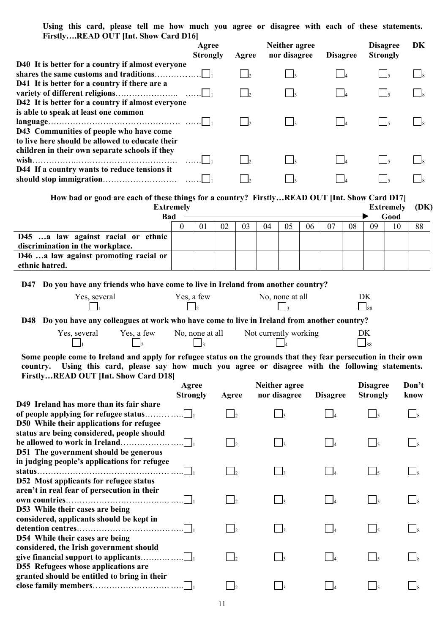**Using this card, please tell me how much you agree or disagree with each of these statements. Firstly….READ OUT [Int. Show Card D16]** 

|                                                                                                   | Agree<br><b>Strongly</b> | Agree | Neither agree<br>nor disagree | <b>Disagree</b> | <b>Disagree</b><br><b>Strongly</b> | DK |
|---------------------------------------------------------------------------------------------------|--------------------------|-------|-------------------------------|-----------------|------------------------------------|----|
| D40 It is better for a country if almost everyone                                                 |                          |       |                               |                 |                                    |    |
| shares the same customs and traditions                                                            |                          |       |                               |                 |                                    |    |
| D41 It is better for a country if there are a                                                     |                          |       |                               |                 |                                    |    |
|                                                                                                   |                          |       | $\Box$ 3                      |                 |                                    |    |
| D42 It is better for a country if almost everyone                                                 |                          |       |                               |                 |                                    |    |
| is able to speak at least one common                                                              |                          |       |                               |                 |                                    |    |
|                                                                                                   |                          |       | $\frac{1}{2}$                 |                 |                                    |    |
| D43 Communities of people who have come                                                           |                          |       |                               |                 |                                    |    |
| to live here should be allowed to educate their<br>children in their own separate schools if they |                          |       |                               |                 |                                    |    |
|                                                                                                   |                          |       | $\frac{1}{3}$                 |                 |                                    |    |
| D44 If a country wants to reduce tensions it                                                      |                          |       |                               |                 |                                    |    |
|                                                                                                   |                          |       |                               |                 |                                    |    |

| How bad or good are each of these things for a country? FirstlyREAD OUT [Int. Show Card D17] |                  |  |  |    |    |    |    |    |    |    |                  |      |
|----------------------------------------------------------------------------------------------|------------------|--|--|----|----|----|----|----|----|----|------------------|------|
|                                                                                              | <b>Extremely</b> |  |  |    |    |    |    |    |    |    | <b>Extremely</b> | (DK) |
| <b>Bad</b><br>Good                                                                           |                  |  |  |    |    |    |    |    |    |    |                  |      |
|                                                                                              |                  |  |  | 03 | 04 | 05 | 06 | 07 | 08 | 09 | 10               | 88   |
| D45 a law against racial or ethnic                                                           |                  |  |  |    |    |    |    |    |    |    |                  |      |
| discrimination in the workplace.                                                             |                  |  |  |    |    |    |    |    |    |    |                  |      |
| D46 a law against promoting racial or                                                        |                  |  |  |    |    |    |    |    |    |    |                  |      |
| ethnic hatred.                                                                               |                  |  |  |    |    |    |    |    |    |    |                  |      |

**D47 Do you have any friends who have come to live in Ireland from another country?** 

| Yes, several | Yes, a few | No, none at all |     |
|--------------|------------|-----------------|-----|
|              |            |                 | 188 |

**D48 Do you have any colleagues at work who have come to live in Ireland from another country?** 

| Yes, several | Yes, a few | No, none at all | Not currently working |    |
|--------------|------------|-----------------|-----------------------|----|
|              |            |                 |                       | 88 |

**Some people come to Ireland and apply for refugee status on the grounds that they fear persecution in their own country. Using this card, please say how much you agree or disagree with the following statements. Firstly…READ OUT [Int. Show Card D18]**

|                                                                                                                   | Agree<br><b>Strongly</b> | Agree                    | Neither agree<br>nor disagree | <b>Disagree</b> | <b>Disagree</b><br><b>Strongly</b> | Don't<br>know |
|-------------------------------------------------------------------------------------------------------------------|--------------------------|--------------------------|-------------------------------|-----------------|------------------------------------|---------------|
| D49 Ireland has more than its fair share                                                                          |                          | $\mathsf{L}$             |                               |                 |                                    |               |
| D50 While their applications for refugee<br>status are being considered, people should                            |                          |                          |                               |                 |                                    |               |
| D51 The government should be generous                                                                             |                          | $\overline{2}$           |                               |                 | $\Box$ <sub>5</sub>                |               |
| in judging people's applications for refugee                                                                      |                          | $\overline{\phantom{a}}$ |                               |                 | $\frac{1}{5}$                      |               |
| D52 Most applicants for refugee status<br>aren't in real fear of persecution in their                             |                          | $\vert$ 2                | $\frac{1}{3}$                 |                 | $\overline{\phantom{a}}$ 5         |               |
| D53 While their cases are being<br>considered, applicants should be kept in                                       |                          | $\overline{\phantom{a}}$ |                               |                 | $\frac{1}{5}$                      |               |
| D54 While their cases are being<br>considered, the Irish government should<br>D55 Refugees whose applications are |                          | $\overline{\phantom{a}}$ |                               |                 | $\sim$ 5                           |               |
| granted should be entitled to bring in their                                                                      |                          |                          |                               |                 |                                    |               |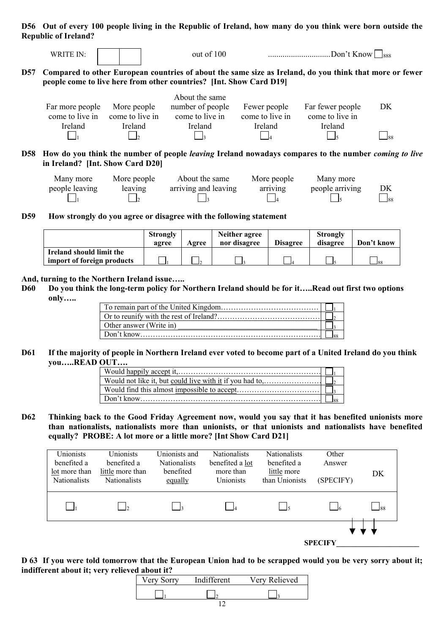**D56 Out of every 100 people living in the Republic of Ireland, how many do you think were born outside the Republic of Ireland?** 

|       | WRITE IN:                                            |                                                           | out of 100                                                          |                                            | Don't Know $ $ $ $ <sub>888</sub>                                                                                  |             |
|-------|------------------------------------------------------|-----------------------------------------------------------|---------------------------------------------------------------------|--------------------------------------------|--------------------------------------------------------------------------------------------------------------------|-------------|
| D57   |                                                      |                                                           | people come to live here from other countries? [Int. Show Card D19] |                                            | Compared to other European countries of about the same size as Ireland, do you think that more or fewer            |             |
|       | Far more people<br>come to live in<br><b>Ireland</b> | More people<br>come to live in<br>Ireland<br>$\mathsf{L}$ | About the same<br>number of people<br>come to live in<br>Ireland    | Fewer people<br>come to live in<br>Ireland | Far fewer people<br>come to live in<br>Ireland                                                                     | DK<br>$-88$ |
| D58 - | in Ireland? [Int. Show Card D20]                     |                                                           |                                                                     |                                            | How do you think the number of people <i>leaving</i> Ireland nowadays compares to the number <i>coming to live</i> |             |
|       | Many more                                            | More people                                               | About the same                                                      | More neonle                                | Many more                                                                                                          |             |

| Many more      | More people | About the same       | More people | Many more       |                  |
|----------------|-------------|----------------------|-------------|-----------------|------------------|
| people leaving | leaving     | arriving and leaving | arriving    | people arriving | DK               |
|                |             |                      |             |                 | $\frac{188}{12}$ |

**D59 How strongly do you agree or disagree with the following statement** 

|                            | <b>Strongly</b><br>agree | Agree | Neither agree<br>nor disagree | <b>Disagree</b> | <b>Strongly</b><br>disagree | Don't know |
|----------------------------|--------------------------|-------|-------------------------------|-----------------|-----------------------------|------------|
| Ireland should limit the   |                          |       |                               |                 |                             |            |
| import of foreign products |                          |       |                               |                 |                             | $-$ 88     |

#### **And, turning to the Northern Ireland issue…..**

**D60 Do you think the long-term policy for Northern Ireland should be for it…..Read out first two options only…..** 

| Other answer (Write in) |  |
|-------------------------|--|
|                         |  |

## **D61 If the majority of people in Northern Ireland ever voted to become part of a United Ireland do you think you…..READ OUT….**

**D62 Thinking back to the Good Friday Agreement now, would you say that it has benefited unionists more than nationalists, nationalists more than unionists, or that unionists and nationalists have benefited equally? PROBE: A lot more or a little more? [Int Show Card D21]** 



**D 63 If you were told tomorrow that the European Union had to be scrapped would you be very sorry about it; indifferent about it; very relieved about it?**

| Very Sorry | Indifferent | Very Relieved |
|------------|-------------|---------------|
|            |             |               |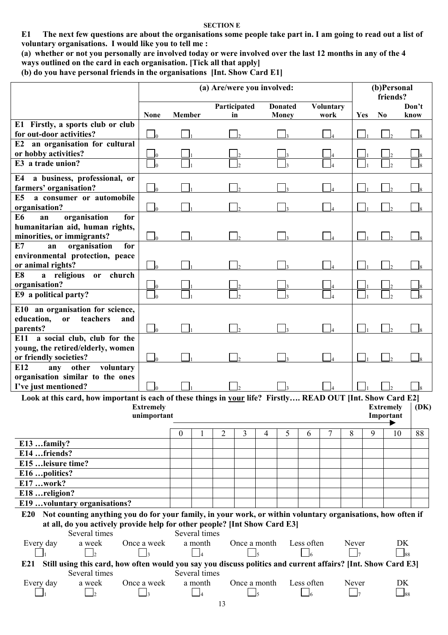#### **SECTION E**

**E1 The next few questions are about the organisations some people take part in. I am going to read out a list of voluntary organisations. I would like you to tell me :** 

**(a) whether or not you personally are involved today or were involved over the last 12 months in any of the 4 ways outlined on the card in each organisation. [Tick all that apply]** 

**(b) do you have personal friends in the organisations [Int. Show Card E1]** 

|                                                                                                                    | (a) Are/were you involved: |               |               |   |               |              |                |            |                  |       | (b)Personal<br>friends? |                  |           |      |  |
|--------------------------------------------------------------------------------------------------------------------|----------------------------|---------------|---------------|---|---------------|--------------|----------------|------------|------------------|-------|-------------------------|------------------|-----------|------|--|
|                                                                                                                    |                            |               |               |   | Participated  |              | <b>Donated</b> |            | <b>Voluntary</b> |       |                         |                  | Don't     |      |  |
|                                                                                                                    | <b>None</b>                | <b>Member</b> |               |   | in            |              | <b>Money</b>   |            | work             |       | Yes                     | No               | know      |      |  |
| E1 Firstly, a sports club or club<br>for out-door activities?                                                      | $\overline{0}$             |               |               |   |               |              |                |            |                  |       |                         |                  |           |      |  |
| an organisation for cultural<br>E2                                                                                 |                            |               |               |   |               |              |                |            |                  |       |                         |                  |           |      |  |
| or hobby activities?                                                                                               | J0                         |               |               |   |               |              |                |            |                  |       |                         |                  |           |      |  |
| E3 a trade union?                                                                                                  | 10                         |               |               |   |               |              |                |            |                  |       |                         |                  |           |      |  |
| a business, professional, or<br>E4<br>farmers' organisation?                                                       | Ю                          |               |               |   |               |              |                |            |                  |       |                         |                  |           |      |  |
| E <sub>5</sub><br>a consumer or automobile                                                                         |                            |               |               |   |               |              |                |            |                  |       |                         |                  |           |      |  |
| organisation?                                                                                                      | $\Box$                     |               |               |   |               |              |                |            |                  |       |                         |                  |           |      |  |
| E <sub>6</sub><br>organisation<br>for<br>an                                                                        |                            |               |               |   |               |              |                |            |                  |       |                         |                  |           |      |  |
| humanitarian aid, human rights,                                                                                    |                            |               |               |   |               |              |                |            |                  |       |                         |                  |           |      |  |
| minorities, or immigrants?                                                                                         | $\overline{0}$             |               |               |   |               |              |                |            |                  |       |                         |                  |           | l R  |  |
| E7<br>organisation<br>for<br>an                                                                                    |                            |               |               |   |               |              |                |            |                  |       |                         |                  |           |      |  |
| environmental protection, peace                                                                                    |                            |               |               |   |               |              |                |            |                  |       |                         |                  |           |      |  |
| or animal rights?                                                                                                  | $\Omega$                   |               |               |   |               |              |                |            |                  |       |                         |                  |           |      |  |
| E8<br>a religious or<br>church                                                                                     |                            |               |               |   |               |              |                |            |                  |       |                         |                  |           |      |  |
| organisation?                                                                                                      | 10                         |               |               |   |               |              |                |            |                  |       |                         |                  |           |      |  |
| E9 a political party?                                                                                              | -10                        |               |               |   | $\mathcal{D}$ |              |                |            |                  |       |                         |                  |           |      |  |
| E10 an organisation for science,                                                                                   |                            |               |               |   |               |              |                |            |                  |       |                         |                  |           |      |  |
| education,<br>teachers<br><sub>or</sub><br>and                                                                     |                            |               |               |   |               |              |                |            |                  |       |                         |                  |           |      |  |
| parents?                                                                                                           | J0                         |               |               |   |               |              |                |            |                  |       |                         |                  |           |      |  |
| a social club, club for the<br>E11                                                                                 |                            |               |               |   |               |              |                |            |                  |       |                         |                  |           |      |  |
| young, the retired/elderly, women                                                                                  |                            |               |               |   |               |              |                |            |                  |       |                         |                  |           |      |  |
| or friendly societies?                                                                                             | $\overline{0}$             |               |               |   |               |              |                |            |                  |       |                         |                  |           |      |  |
| E12<br>other<br>voluntary<br>any                                                                                   |                            |               |               |   |               |              |                |            |                  |       |                         |                  |           |      |  |
| organisation similar to the ones                                                                                   |                            |               |               |   |               |              |                |            |                  |       |                         |                  |           |      |  |
| I've just mentioned?                                                                                               |                            |               |               |   |               |              |                |            |                  |       |                         |                  |           |      |  |
| Look at this card, how important is each of these things in your life? Firstly READ OUT [Int. Show Card E2]        |                            |               |               |   |               |              |                |            |                  |       |                         |                  |           |      |  |
|                                                                                                                    | <b>Extremely</b>           |               |               |   |               |              |                |            |                  |       |                         | <b>Extremely</b> |           | (DK) |  |
|                                                                                                                    | unimportant                |               |               |   |               |              |                |            |                  |       |                         | Important        |           |      |  |
|                                                                                                                    |                            | $\theta$      |               | 2 | 3             |              | 5              | 6          | 7                | 8     | 9                       |                  | 10        | 88   |  |
| E13 family?                                                                                                        |                            |               |               |   |               | 4            |                |            |                  |       |                         |                  |           |      |  |
| E14 friends?                                                                                                       |                            |               |               |   |               |              |                |            |                  |       |                         |                  |           |      |  |
| E15  leisure time?                                                                                                 |                            |               |               |   |               |              |                |            |                  |       |                         |                  |           |      |  |
| E16 politics?                                                                                                      |                            |               |               |   |               |              |                |            |                  |       |                         |                  |           |      |  |
| E17 work?                                                                                                          |                            |               |               |   |               |              |                |            |                  |       |                         |                  |           |      |  |
| E18 religion?                                                                                                      |                            |               |               |   |               |              |                |            |                  |       |                         |                  |           |      |  |
| E19 voluntary organisations?                                                                                       |                            |               |               |   |               |              |                |            |                  |       |                         |                  |           |      |  |
|                                                                                                                    |                            |               |               |   |               |              |                |            |                  |       |                         |                  |           |      |  |
| Not counting anything you do for your family, in your work, or within voluntary organisations, how often if<br>E20 |                            |               |               |   |               |              |                |            |                  |       |                         |                  |           |      |  |
| at all, do you actively provide help for other people? [Int Show Card E3]<br>Several times                         |                            |               | Several times |   |               |              |                |            |                  |       |                         |                  |           |      |  |
| a week<br>Every day                                                                                                | Once a week                |               | a month       |   |               | Once a month |                | Less often |                  | Never |                         |                  | DK        |      |  |
| $\vert$ <sub>2</sub>                                                                                               | $\vert$ 3                  |               |               |   |               |              |                |            |                  |       |                         |                  | $_{88}$   |      |  |
| E21 Still using this card, how often would you say you discuss politics and current affairs? [Int. Show Card E3]   |                            |               |               |   |               |              |                |            |                  |       |                         |                  |           |      |  |
| Several times                                                                                                      |                            |               | Several times |   |               |              |                |            |                  |       |                         |                  |           |      |  |
| Every day<br>a week                                                                                                | Once a week                |               | a month       |   |               | Once a month |                | Less often |                  | Never |                         |                  | DK        |      |  |
|                                                                                                                    | $\vert$ <sub>3</sub>       |               |               |   |               |              |                |            |                  |       | $\mathsf{I}$            |                  | $\Box$ 88 |      |  |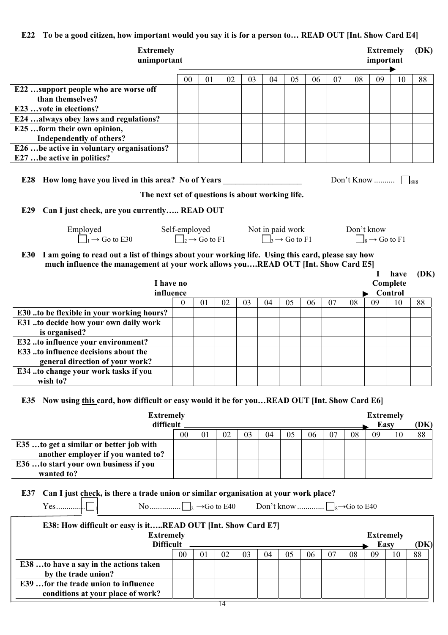## **E22 To be a good citizen, how important would you say it is for a person to… READ OUT [Int. Show Card E4]**

| <b>Extremely</b><br>unimportant                                                                                                                                                                                                                                                                |                  |                |                                                                 |    |                               |    |      |    |            | <b>Extremely</b><br>important |          | (DK) |
|------------------------------------------------------------------------------------------------------------------------------------------------------------------------------------------------------------------------------------------------------------------------------------------------|------------------|----------------|-----------------------------------------------------------------|----|-------------------------------|----|------|----|------------|-------------------------------|----------|------|
|                                                                                                                                                                                                                                                                                                | 00               | 01             | 02                                                              | 03 | 04                            | 05 | 06   | 07 | 08         | 09                            | 10       | 88   |
| E22 support people who are worse off<br>than themselves?                                                                                                                                                                                                                                       |                  |                |                                                                 |    |                               |    |      |    |            |                               |          |      |
| E23 vote in elections?                                                                                                                                                                                                                                                                         |                  |                |                                                                 |    |                               |    |      |    |            |                               |          |      |
| E24  always obey laws and regulations?                                                                                                                                                                                                                                                         |                  |                |                                                                 |    |                               |    |      |    |            |                               |          |      |
| E25 form their own opinion,                                                                                                                                                                                                                                                                    |                  |                |                                                                 |    |                               |    |      |    |            |                               |          |      |
| <b>Independently of others?</b>                                                                                                                                                                                                                                                                |                  |                |                                                                 |    |                               |    |      |    |            |                               |          |      |
| E26  be active in voluntary organisations?                                                                                                                                                                                                                                                     |                  |                |                                                                 |    |                               |    |      |    |            |                               |          |      |
| E27 be active in politics?                                                                                                                                                                                                                                                                     |                  |                |                                                                 |    |                               |    |      |    |            |                               |          |      |
| Can I just check, are you currently READ OUT<br>E29<br>Employed<br>$\Box_1 \rightarrow$ Go to E30<br>E30 I am going to read out a list of things about your working life. Using this card, please say how<br>much influence the management at your work allows youREAD OUT [Int. Show Card E5] |                  |                | Self-employed Not in paid work<br>$\Box_2 \rightarrow$ Go to F1 |    | $\Box_3 \rightarrow$ Go to F1 |    |      |    | Don't know | $\Box_8 \rightarrow$ Go to F1 | have     | (DK) |
| I have no                                                                                                                                                                                                                                                                                      |                  |                |                                                                 |    |                               |    |      |    |            |                               | Complete |      |
| influence                                                                                                                                                                                                                                                                                      |                  |                |                                                                 |    |                               |    |      |    |            |                               | Control  |      |
|                                                                                                                                                                                                                                                                                                | $\boldsymbol{0}$ | 01             | 02                                                              | 03 | 04                            | 05 | 06   | 07 | 08         | 09                            | 10       | 88   |
| E30 to be flexible in your working hours?<br>E31 to decide how your own daily work<br>is organised?                                                                                                                                                                                            |                  |                |                                                                 |    |                               |    |      |    |            |                               |          |      |
| E32 to influence your environment?                                                                                                                                                                                                                                                             |                  |                |                                                                 |    |                               |    |      |    |            |                               |          |      |
| E33 to influence decisions about the                                                                                                                                                                                                                                                           |                  |                |                                                                 |    |                               |    |      |    |            |                               |          |      |
| general direction of your work?                                                                                                                                                                                                                                                                |                  |                |                                                                 |    |                               |    |      |    |            |                               |          |      |
| E34 to change your work tasks if you<br>wish to?                                                                                                                                                                                                                                               |                  |                |                                                                 |    |                               |    |      |    |            |                               |          |      |
| Now using this card, how difficult or easy would it be for youREAD OUT [Int. Show Card E6]<br>E35<br><b>Extremely</b>                                                                                                                                                                          |                  |                |                                                                 |    |                               |    |      |    |            | <b>Extremely</b>              |          |      |
| difficult                                                                                                                                                                                                                                                                                      |                  |                |                                                                 |    |                               |    |      |    |            | <b>Easy</b>                   |          | (DK) |
|                                                                                                                                                                                                                                                                                                | 0 <sub>0</sub>   | 0 <sub>1</sub> | 02                                                              | 03 | 04                            | 05 | - 06 | 07 | 08         | 09                            | 10       | 88   |

| 0 <sup>0</sup> | 02 | 04 | 05 | 06 | 07 | 08 | 09 | 88 |
|----------------|----|----|----|----|----|----|----|----|
|                |    |    |    |    |    |    |    |    |
|                |    |    |    |    |    |    |    |    |
|                |    |    |    |    |    |    |    |    |
|                |    |    |    |    |    |    |    |    |
|                |    |    |    |    |    |    |    |    |

# **E37 Can I just check, is there a trade union or similar organisation at your work place?**

| No $\Box$ $\Box$ $\rightarrow$ Go to E40<br>$Yes$            |                |    |    |    | Don't know $\Box$ <sub>8</sub> $\rightarrow$ Go to E40 |    |      |                  |      |    |    |    |
|--------------------------------------------------------------|----------------|----|----|----|--------------------------------------------------------|----|------|------------------|------|----|----|----|
| E38: How difficult or easy is itREAD OUT [Int. Show Card E7] |                |    |    |    |                                                        |    |      |                  |      |    |    |    |
| <b>Extremely</b>                                             |                |    |    |    |                                                        |    |      | <b>Extremely</b> |      |    |    |    |
| <b>Difficult</b>                                             |                |    |    |    |                                                        |    | Easy |                  | (DK) |    |    |    |
|                                                              | 0 <sub>0</sub> | 01 | 02 | 03 | 04                                                     | 05 | 06   | -07              | 08   | 09 | 10 | 88 |
| E38 to have a say in the actions taken                       |                |    |    |    |                                                        |    |      |                  |      |    |    |    |
| by the trade union?                                          |                |    |    |    |                                                        |    |      |                  |      |    |    |    |
| E39  for the trade union to influence                        |                |    |    |    |                                                        |    |      |                  |      |    |    |    |
| conditions at your place of work?                            |                |    |    |    |                                                        |    |      |                  |      |    |    |    |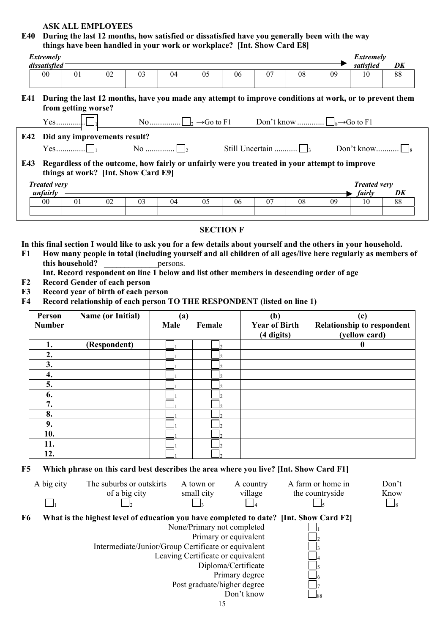# **ASK ALL EMPLOYEES**

**E40 During the last 12 months, how satisfied or dissatisfied have you generally been with the way things have been handled in your work or workplace? [Int. Show Card E8]** 

|                                  | Extremely<br>dissatisfied                                                                                                                                                              |  |                     |                                                                            |               |          |  |                         |                  | things have been hangled in your work or workplace. This Show Card Eot                                                                                              |    |                                      | Extremely<br>satisfied                                                                                      | DK            |
|----------------------------------|----------------------------------------------------------------------------------------------------------------------------------------------------------------------------------------|--|---------------------|----------------------------------------------------------------------------|---------------|----------|--|-------------------------|------------------|---------------------------------------------------------------------------------------------------------------------------------------------------------------------|----|--------------------------------------|-------------------------------------------------------------------------------------------------------------|---------------|
|                                  | $00\,$                                                                                                                                                                                 |  | 01                  | 02                                                                         | 03            | 04       |  | 05                      | 06               | 07                                                                                                                                                                  | 08 | 09                                   | 10                                                                                                          | 88            |
|                                  |                                                                                                                                                                                        |  |                     |                                                                            |               |          |  |                         |                  |                                                                                                                                                                     |    |                                      |                                                                                                             |               |
| E41                              |                                                                                                                                                                                        |  | from getting worse? |                                                                            |               |          |  |                         |                  |                                                                                                                                                                     |    |                                      | During the last 12 months, have you made any attempt to improve conditions at work, or to prevent them      |               |
|                                  |                                                                                                                                                                                        |  |                     |                                                                            |               |          |  |                         |                  |                                                                                                                                                                     |    |                                      |                                                                                                             |               |
| E42                              |                                                                                                                                                                                        |  |                     | Did any improvements result?                                               |               |          |  |                         |                  |                                                                                                                                                                     |    |                                      |                                                                                                             |               |
| E43                              |                                                                                                                                                                                        |  |                     |                                                                            |               |          |  | No $\Box$               |                  | Still Uncertain $\Box$ <sub>3</sub><br>Regardless of the outcome, how fairly or unfairly were you treated in your attempt to improve                                |    |                                      |                                                                                                             |               |
|                                  |                                                                                                                                                                                        |  |                     | things at work? [Int. Show Card E9]                                        |               |          |  |                         |                  |                                                                                                                                                                     |    |                                      |                                                                                                             |               |
|                                  | <b>Treated very</b>                                                                                                                                                                    |  |                     |                                                                            |               |          |  |                         |                  |                                                                                                                                                                     |    |                                      | <b>Treated very</b>                                                                                         |               |
|                                  | unfairly<br>00                                                                                                                                                                         |  | 01                  | 02                                                                         | 03            | 04       |  | 05                      | 06               | 07                                                                                                                                                                  | 08 | 09                                   | fairly<br>10                                                                                                | DK<br>88      |
|                                  |                                                                                                                                                                                        |  |                     |                                                                            |               |          |  |                         |                  |                                                                                                                                                                     |    |                                      |                                                                                                             |               |
|                                  |                                                                                                                                                                                        |  |                     |                                                                            |               |          |  |                         | <b>SECTION F</b> |                                                                                                                                                                     |    |                                      |                                                                                                             |               |
| F1<br>F2<br>F3<br>F <sub>4</sub> |                                                                                                                                                                                        |  | this household?     | <b>Record Gender of each person</b><br>Record year of birth of each person |               | persons. |  |                         |                  | Int. Record respondent on line 1 below and list other members in descending order of age<br>Record relationship of each person TO THE RESPONDENT (listed on line 1) |    |                                      | How many people in total (including yourself and all children of all ages/live here regularly as members of |               |
|                                  | <b>Name (or Initial)</b><br>Person<br>(a)<br>(b)<br>(c)<br><b>Year of Birth</b><br><b>Relationship to respondent</b><br>Male<br><b>Number</b><br>Female<br>(yellow card)<br>(4 digits) |  |                     |                                                                            |               |          |  |                         |                  |                                                                                                                                                                     |    |                                      |                                                                                                             |               |
|                                  | 1.                                                                                                                                                                                     |  |                     | (Respondent)                                                               |               |          |  |                         |                  |                                                                                                                                                                     |    |                                      | $\mathbf{0}$                                                                                                |               |
|                                  | 2.                                                                                                                                                                                     |  |                     |                                                                            |               |          |  |                         |                  |                                                                                                                                                                     |    |                                      |                                                                                                             |               |
|                                  | 3.                                                                                                                                                                                     |  |                     |                                                                            |               |          |  |                         |                  |                                                                                                                                                                     |    |                                      |                                                                                                             |               |
|                                  | 4.<br>5.                                                                                                                                                                               |  |                     |                                                                            |               |          |  |                         |                  |                                                                                                                                                                     |    |                                      |                                                                                                             |               |
|                                  | 6.                                                                                                                                                                                     |  |                     |                                                                            |               |          |  |                         |                  |                                                                                                                                                                     |    |                                      |                                                                                                             |               |
|                                  | 7.                                                                                                                                                                                     |  |                     |                                                                            |               |          |  |                         |                  |                                                                                                                                                                     |    |                                      |                                                                                                             |               |
|                                  | 8.                                                                                                                                                                                     |  |                     |                                                                            |               |          |  |                         |                  |                                                                                                                                                                     |    |                                      |                                                                                                             |               |
|                                  | 9.                                                                                                                                                                                     |  |                     |                                                                            |               |          |  |                         |                  |                                                                                                                                                                     |    |                                      |                                                                                                             |               |
|                                  | 10.                                                                                                                                                                                    |  |                     |                                                                            |               |          |  |                         |                  |                                                                                                                                                                     |    |                                      |                                                                                                             |               |
|                                  | 11.                                                                                                                                                                                    |  |                     |                                                                            |               |          |  |                         |                  |                                                                                                                                                                     |    |                                      |                                                                                                             |               |
| F5                               | 12.                                                                                                                                                                                    |  |                     |                                                                            |               |          |  |                         |                  | Which phrase on this card best describes the area where you live? [Int. Show Card F1]                                                                               |    |                                      |                                                                                                             |               |
|                                  | A big city                                                                                                                                                                             |  |                     | The suburbs or outskirts                                                   | of a big city |          |  | A town or<br>small city |                  | A country<br>village                                                                                                                                                |    | A farm or home in<br>the countryside |                                                                                                             | Don't<br>Know |
|                                  |                                                                                                                                                                                        |  |                     |                                                                            |               |          |  |                         |                  |                                                                                                                                                                     |    |                                      |                                                                                                             | $\mathsf{18}$ |
| F <sub>6</sub>                   | What is the highest level of education you have completed to date? [Int. Show Card F2]<br>None/Primary not completed<br>Primary or equivalent                                          |  |                     |                                                                            |               |          |  |                         |                  |                                                                                                                                                                     |    |                                      |                                                                                                             |               |
|                                  | Intermediate/Junior/Group Certificate or equivalent<br>Leaving Certificate or equivalent<br>Diploma/Certificate<br>Primary degree<br>Post graduate/higher degree                       |  |                     |                                                                            |               |          |  |                         |                  |                                                                                                                                                                     |    |                                      |                                                                                                             |               |
|                                  |                                                                                                                                                                                        |  |                     |                                                                            |               |          |  |                         | 15               | Don't know                                                                                                                                                          |    |                                      |                                                                                                             |               |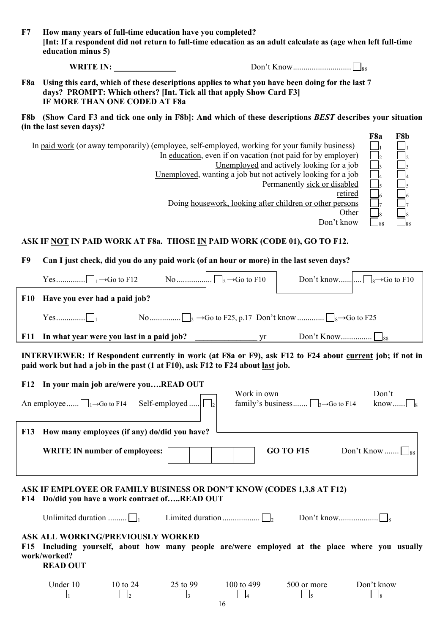| F7             | How many years of full-time education have you completed?<br>[Int: If a respondent did not return to full-time education as an adult calculate as (age when left full-time<br>education minus 5)        |                                 |             |                                                                                                                                                                                                                                                                                                         |                                                              |  |  |
|----------------|---------------------------------------------------------------------------------------------------------------------------------------------------------------------------------------------------------|---------------------------------|-------------|---------------------------------------------------------------------------------------------------------------------------------------------------------------------------------------------------------------------------------------------------------------------------------------------------------|--------------------------------------------------------------|--|--|
|                | WRITE IN:                                                                                                                                                                                               |                                 |             |                                                                                                                                                                                                                                                                                                         |                                                              |  |  |
| F8a            | Using this card, which of these descriptions applies to what you have been doing for the last 7<br>days? PROMPT: Which others? [Int. Tick all that apply Show Card F3]<br>IF MORE THAN ONE CODED AT F8a |                                 |             |                                                                                                                                                                                                                                                                                                         |                                                              |  |  |
|                | F8b (Show Card F3 and tick one only in F8b): And which of these descriptions BEST describes your situation<br>(in the last seven days)?                                                                 |                                 |             |                                                                                                                                                                                                                                                                                                         |                                                              |  |  |
|                | In paid work (or away temporarily) (employee, self-employed, working for your family business)                                                                                                          |                                 |             | In education, even if on vacation (not paid for by employer)<br>Unemployed and actively looking for a job<br>Unemployed, wanting a job but not actively looking for a job<br>Permanently sick or disabled<br>retired<br>Doing housework, looking after children or other persons<br>Other<br>Don't know | F8a<br>F8b<br>$\mathbf{I}_2$<br>$\overline{1}_3$<br>$\int_6$ |  |  |
|                | ASK IF NOT IN PAID WORK AT F8a. THOSE IN PAID WORK (CODE 01), GO TO F12.                                                                                                                                |                                 |             |                                                                                                                                                                                                                                                                                                         |                                                              |  |  |
| F <sub>9</sub> | Can I just check, did you do any paid work (of an hour or more) in the last seven days?                                                                                                                 |                                 |             |                                                                                                                                                                                                                                                                                                         |                                                              |  |  |
|                |                                                                                                                                                                                                         |                                 |             |                                                                                                                                                                                                                                                                                                         |                                                              |  |  |
| <b>F10</b>     | Have you ever had a paid job?                                                                                                                                                                           |                                 |             |                                                                                                                                                                                                                                                                                                         |                                                              |  |  |
|                |                                                                                                                                                                                                         |                                 |             |                                                                                                                                                                                                                                                                                                         |                                                              |  |  |
| <b>F11</b>     |                                                                                                                                                                                                         |                                 |             |                                                                                                                                                                                                                                                                                                         |                                                              |  |  |
|                | INTERVIEWER: If Respondent currently in work (at F8a or F9), ask F12 to F24 about current job; if not in<br>paid work but had a job in the past (1 at F10), ask F12 to F24 about last job.              |                                 |             |                                                                                                                                                                                                                                                                                                         |                                                              |  |  |
|                | F12 In your main job are/were youREAD OUT                                                                                                                                                               |                                 |             |                                                                                                                                                                                                                                                                                                         |                                                              |  |  |
|                | An employee $\Box_1 \rightarrow$ Go to F14                                                                                                                                                              | Self-employed                   | Work in own | family's business $\Box_3 \rightarrow$ Go to F14                                                                                                                                                                                                                                                        | Don't<br>know                                                |  |  |
| <b>F13</b>     | How many employees (if any) do/did you have?                                                                                                                                                            |                                 |             |                                                                                                                                                                                                                                                                                                         |                                                              |  |  |
|                | <b>WRITE IN number of employees:</b>                                                                                                                                                                    |                                 |             | <b>GO TO F15</b>                                                                                                                                                                                                                                                                                        | Don't Know                                                   |  |  |
|                | ASK IF EMPLOYEE OR FAMILY BUSINESS OR DON'T KNOW (CODES 1,3,8 AT F12)<br>F14 Do/did you have a work contract ofREAD OUT                                                                                 |                                 |             |                                                                                                                                                                                                                                                                                                         |                                                              |  |  |
|                | Unlimited duration $\Box$                                                                                                                                                                               |                                 |             |                                                                                                                                                                                                                                                                                                         |                                                              |  |  |
|                | <b>ASK ALL WORKING/PREVIOUSLY WORKED</b><br>F15 Including yourself, about how many people are/were employed at the place where you usually<br>work/worked?<br><b>READ OUT</b>                           |                                 |             |                                                                                                                                                                                                                                                                                                         |                                                              |  |  |
|                | Under 10<br>10 to 24<br>$\vert$ <sub>2</sub>                                                                                                                                                            | 25 to 99<br>$\frac{1}{3}$<br>16 | 100 to 499  | 500 or more<br>$\Box$ <sub>5</sub>                                                                                                                                                                                                                                                                      | Don't know<br>$\Box$ 8                                       |  |  |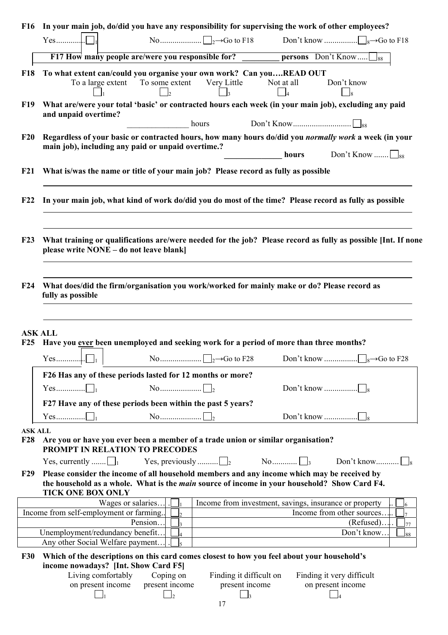| <b>F16</b>                        | In your main job, do/did you have any responsibility for supervising the work of other employees?                                                                                                                                                                                                                                                                  |
|-----------------------------------|--------------------------------------------------------------------------------------------------------------------------------------------------------------------------------------------------------------------------------------------------------------------------------------------------------------------------------------------------------------------|
|                                   |                                                                                                                                                                                                                                                                                                                                                                    |
|                                   | F17 How many people are/were you responsible for? __________ persons Don't Know ss                                                                                                                                                                                                                                                                                 |
| <b>F18</b>                        | To what extent can/could you organise your own work? Can youREAD OUT<br>To a large extent To some extent Very Little<br>Not at all<br>Don't know<br>$\Box_8$<br>$\vert \vert_3$<br>$\Box$<br>$\vert$ $\vert_2$                                                                                                                                                     |
| <b>F19</b>                        | What are/were your total 'basic' or contracted hours each week (in your main job), excluding any paid<br>and unpaid overtime?<br>hours                                                                                                                                                                                                                             |
| F20                               | Regardless of your basic or contracted hours, how many hours do/did you normally work a week (in your<br>main job), including any paid or unpaid overtime.?<br><b>hours</b> Don't Know $\Box$ <sub>88</sub>                                                                                                                                                        |
| F21                               | What is/was the name or title of your main job? Please record as fully as possible                                                                                                                                                                                                                                                                                 |
| F22                               | In your main job, what kind of work do/did you do most of the time? Please record as fully as possible                                                                                                                                                                                                                                                             |
| F23                               | What training or qualifications are/were needed for the job? Please record as fully as possible [Int. If none<br>please write NONE - do not leave blank]                                                                                                                                                                                                           |
| F24                               | What does/did the firm/organisation you work/worked for mainly make or do? Please record as<br>fully as possible                                                                                                                                                                                                                                                   |
| F25                               | <b>ASK ALL</b><br>Have you ever been unemployed and seeking work for a period of more than three months?                                                                                                                                                                                                                                                           |
|                                   |                                                                                                                                                                                                                                                                                                                                                                    |
|                                   | F26 Has any of these periods lasted for 12 months or more?                                                                                                                                                                                                                                                                                                         |
|                                   |                                                                                                                                                                                                                                                                                                                                                                    |
|                                   | F27 Have any of these periods been within the past 5 years?                                                                                                                                                                                                                                                                                                        |
|                                   |                                                                                                                                                                                                                                                                                                                                                                    |
| <b>ASK ALL</b><br>F <sub>28</sub> | Are you or have you ever been a member of a trade union or similar organisation?<br>PROMPT IN RELATION TO PRECODES                                                                                                                                                                                                                                                 |
|                                   | Yes, currently $\Box$<br>Yes, previously $\Box$                                                                                                                                                                                                                                                                                                                    |
| <b>F29</b>                        | Please consider the income of all household members and any income which may be received by<br>the household as a whole. What is the <i>main</i> source of income in your household? Show Card F4.<br><b>TICK ONE BOX ONLY</b>                                                                                                                                     |
|                                   | Wages or salaries<br>Income from investment, savings, insurance or property<br>6                                                                                                                                                                                                                                                                                   |
|                                   | Income from self-employment or farming<br>Income from other sources.<br>l7<br>Pension<br>(Refused).<br>$\overline{\mathbf{3}}$<br>77                                                                                                                                                                                                                               |
|                                   | Unemployment/redundancy benefit<br>Don't know<br>$\overline{4}$<br>88                                                                                                                                                                                                                                                                                              |
|                                   | Any other Social Welfare payment.                                                                                                                                                                                                                                                                                                                                  |
| <b>F30</b>                        | Which of the descriptions on this card comes closest to how you feel about your household's<br>income nowadays? [Int. Show Card F5]<br>Living comfortably<br>Coping on<br>Finding it difficult on<br>Finding it very difficult<br>present income<br>on present income<br>present income<br>on present income<br>$\Box$ <sub>2</sub><br>$\Box$ 3<br>$\vert$ 1<br>17 |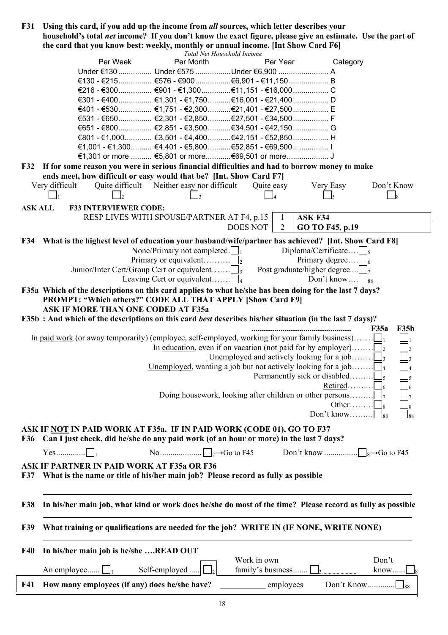| <b>F31</b>     | Using this card, if you add up the income from all sources, which letter describes your                    |                                                              |                                                                      |                              |                     |
|----------------|------------------------------------------------------------------------------------------------------------|--------------------------------------------------------------|----------------------------------------------------------------------|------------------------------|---------------------|
|                | household's total net income? If you don't know the exact figure, please give an estimate. Use the part of |                                                              |                                                                      |                              |                     |
|                | the card that you know best: weekly, monthly or annual income. [Int Show Card F6]                          |                                                              |                                                                      |                              |                     |
|                |                                                                                                            | Total Net Household Income                                   |                                                                      |                              |                     |
|                | Per Week                                                                                                   | Per Month                                                    | Per Year                                                             | Category                     |                     |
|                |                                                                                                            | Under €130  Under €575  Under €6,900  A                      |                                                                      |                              |                     |
|                |                                                                                                            |                                                              |                                                                      |                              |                     |
|                |                                                                                                            |                                                              |                                                                      |                              |                     |
|                |                                                                                                            | €301 - €400 €1,301 - €1,750 €16,001 - €21,400 D              |                                                                      |                              |                     |
|                |                                                                                                            | €401 - €530 €1,751 - €2,300 €21,401 - €27,500 E              |                                                                      |                              |                     |
|                |                                                                                                            | €531 - €650 €2,301 - €2,850 €27,501 - €34,500 F              |                                                                      |                              |                     |
|                |                                                                                                            | €651 - €800 €2,851 - €3,500 €34,501 - €42,150 G              |                                                                      |                              |                     |
|                |                                                                                                            |                                                              |                                                                      |                              |                     |
|                |                                                                                                            | €1,001 - €1,300 €4,401 - €5,800 €52,851 - €69,500 I          |                                                                      |                              |                     |
|                |                                                                                                            | €1,301 or more  €5,801 or more €69,501 or more J             |                                                                      |                              |                     |
|                | F32 If for some reason you were in serious financial difficulties and had to borrow money to make          |                                                              |                                                                      |                              |                     |
|                | ends meet, how difficult or easy would that be? [Int. Show Card F7]                                        |                                                              |                                                                      |                              |                     |
|                | Very difficult<br>Quite difficult                                                                          | Neither easy nor difficult                                   | Quite easy                                                           | Very Easy                    | Don't Know          |
|                |                                                                                                            |                                                              |                                                                      |                              | $\Box$              |
|                |                                                                                                            |                                                              |                                                                      |                              |                     |
| <b>ASK ALL</b> | <b>F33 INTERVIEWER CODE:</b>                                                                               |                                                              |                                                                      |                              |                     |
|                |                                                                                                            | RESP LIVES WITH SPOUSE/PARTNER AT F4, p.15                   | $\mathbf{1}$                                                         | ASK F34                      |                     |
|                |                                                                                                            |                                                              | <b>DOES NOT</b><br>$\overline{2}$                                    | GO TO F45, p.19              |                     |
|                | F34 What is the highest level of education your husband/wife/partner has achieved? [Int. Show Card F8]     |                                                              |                                                                      |                              |                     |
|                |                                                                                                            | None/Primary not completed. $\Box$                           |                                                                      | Diploma/Certificate          |                     |
|                |                                                                                                            | Primary or equivalent                                        |                                                                      | Primary degree $\Box$        |                     |
|                | Junior/Inter Cert/Group Cert or equivalent                                                                 |                                                              |                                                                      | Post graduate/higher degree  |                     |
|                |                                                                                                            | Leaving Cert or equivalent $\Box$                            |                                                                      | Don't know $\Big _{88}$      |                     |
|                |                                                                                                            |                                                              |                                                                      |                              |                     |
|                | F35a Which of the descriptions on this card applies to what he/she has been doing for the last 7 days?     |                                                              |                                                                      |                              |                     |
|                | PROMPT: "Which others?" CODE ALL THAT APPLY [Show Card F9]                                                 |                                                              |                                                                      |                              |                     |
|                | <b>ASK IF MORE THAN ONE CODED AT F35a</b>                                                                  |                                                              |                                                                      |                              |                     |
|                | F35b : And which of the descriptions on this card best describes his/her situation (in the last 7 days)?   |                                                              |                                                                      |                              |                     |
|                |                                                                                                            |                                                              |                                                                      |                              | <b>F35b</b><br>F35a |
|                | In <u>paid work</u> (or away temporarily) (employee, self-employed, working for your family business)      |                                                              |                                                                      |                              |                     |
|                |                                                                                                            |                                                              | In <u>education</u> , even if on vacation (not paid for by employer) |                              |                     |
|                |                                                                                                            |                                                              | Unemployed and actively looking for a job                            |                              |                     |
|                |                                                                                                            | Unemployed, wanting a job but not actively looking for a job |                                                                      |                              |                     |
|                |                                                                                                            |                                                              |                                                                      | Permanently sick or disabled |                     |
|                |                                                                                                            |                                                              |                                                                      | Retired                      |                     |
|                |                                                                                                            |                                                              | Doing housework, looking after children or other persons             |                              |                     |
|                |                                                                                                            |                                                              |                                                                      | Other                        |                     |
|                |                                                                                                            |                                                              |                                                                      | Don't know                   |                     |
|                |                                                                                                            |                                                              |                                                                      |                              |                     |
|                | ASK IF NOT IN PAID WORK AT F35a. IF IN PAID WORK (CODE 01), GO TO F37                                      |                                                              |                                                                      |                              |                     |
| <b>F36</b>     | Can I just check, did he/she do any paid work (of an hour or more) in the last 7 days?                     |                                                              |                                                                      |                              |                     |
|                |                                                                                                            |                                                              |                                                                      |                              |                     |
|                |                                                                                                            |                                                              |                                                                      |                              |                     |
|                | <b>ASK IF PARTNER IN PAID WORK AT F35a OR F36</b>                                                          |                                                              |                                                                      |                              |                     |
| <b>F37</b>     | What is the name or title of his/her main job? Please record as fully as possible                          |                                                              |                                                                      |                              |                     |
|                |                                                                                                            |                                                              |                                                                      |                              |                     |
|                |                                                                                                            |                                                              |                                                                      |                              |                     |
| <b>F38</b>     | In his/her main job, what kind or work does he/she do most of the time? Please record as fully as possible |                                                              |                                                                      |                              |                     |
|                |                                                                                                            |                                                              |                                                                      |                              |                     |
|                |                                                                                                            |                                                              |                                                                      |                              |                     |
| <b>F39</b>     | What training or qualifications are needed for the job? WRITE IN (IF NONE, WRITE NONE)                     |                                                              |                                                                      |                              |                     |
|                |                                                                                                            |                                                              |                                                                      |                              |                     |
|                |                                                                                                            |                                                              |                                                                      |                              |                     |
| <b>F40</b>     | In his/her main job is he/she READ OUT                                                                     |                                                              | Work in own                                                          |                              |                     |
|                |                                                                                                            |                                                              |                                                                      |                              | Don't               |
|                | An employee $\Box$                                                                                         | Self-employed                                                | family's business                                                    |                              | $know \dots$        |
| <b>F41</b>     | How many employees (if any) does he/she have?                                                              |                                                              | employees                                                            |                              |                     |
|                |                                                                                                            |                                                              |                                                                      |                              |                     |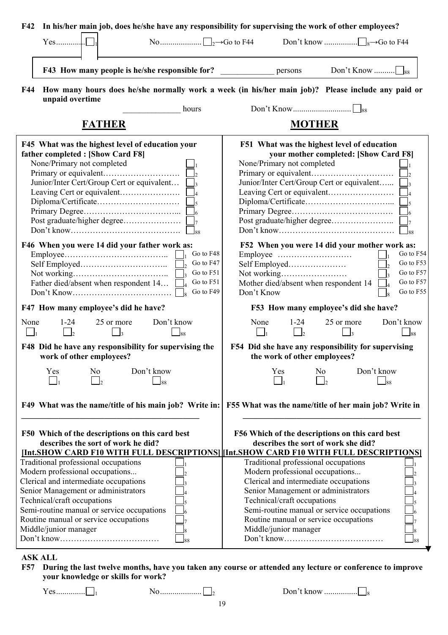| In his/her main job, does he/she have any responsibility for supervising the work of other employees?<br>F42                                                                                                                                                                                           |                                                                                                                                                                                                                                                                                                        |
|--------------------------------------------------------------------------------------------------------------------------------------------------------------------------------------------------------------------------------------------------------------------------------------------------------|--------------------------------------------------------------------------------------------------------------------------------------------------------------------------------------------------------------------------------------------------------------------------------------------------------|
| $Yes$                                                                                                                                                                                                                                                                                                  |                                                                                                                                                                                                                                                                                                        |
| F43 How many people is he/she responsible for?                                                                                                                                                                                                                                                         | Don't Know $\Box$ <sub>88</sub><br>persons                                                                                                                                                                                                                                                             |
| F44<br>unpaid overtime                                                                                                                                                                                                                                                                                 | How many hours does he/she normally work a week (in his/her main job)? Please include any paid or                                                                                                                                                                                                      |
| hours                                                                                                                                                                                                                                                                                                  |                                                                                                                                                                                                                                                                                                        |
| <b>FATHER</b>                                                                                                                                                                                                                                                                                          | <b>MOTHER</b>                                                                                                                                                                                                                                                                                          |
| F45 What was the highest level of education your<br>father completed : [Show Card F8]<br>None/Primary not completed<br>Junior/Inter Cert/Group Cert or equivalent $\Box$ <sub>3</sub><br>88                                                                                                            | F51 What was the highest level of education<br>your mother completed: [Show Card F8]<br>None/Primary not completed<br>Junior/Inter Cert/Group Cert or equivalent<br>$\mathsf{I}_5$<br>$\frac{1}{6}$<br>88                                                                                              |
| F46 When you were 14 did your father work as:<br>Go to F48<br>Go to F47<br>Go to F51<br>Go to F51<br>Father died/absent when respondent 14<br>Go to F49                                                                                                                                                | F52 When you were 14 did your mother work as:<br>Go to F54<br>Go to F53<br>Go to F57<br>Go to F57<br>Mother died/absent when respondent 14<br>Go to F55<br>Don't Know                                                                                                                                  |
| F47 How many employee's did he have?                                                                                                                                                                                                                                                                   | F53 How many employee's did she have?                                                                                                                                                                                                                                                                  |
| $1 - 24$<br>Don't know<br>None<br>25 or more<br>$\vert$<br>88                                                                                                                                                                                                                                          | None<br>25 or more<br>Don't know<br>$1 - 24$<br>$\vert$<br>$\mathsf{R}$<br>$\overline{88}$                                                                                                                                                                                                             |
| F48 Did he have any responsibility for supervising the<br>work of other employees?                                                                                                                                                                                                                     | F54 Did she have any responsibility for supervising<br>the work of other employees?                                                                                                                                                                                                                    |
| Don't know<br>Yes<br>No<br>88                                                                                                                                                                                                                                                                          | Don't know<br>Yes<br>No.<br>-88                                                                                                                                                                                                                                                                        |
| F49 What was the name/title of his main job? Write in:                                                                                                                                                                                                                                                 | F55 What was the name/title of her main job? Write in                                                                                                                                                                                                                                                  |
| F50 Which of the descriptions on this card best<br>describes the sort of work he did?                                                                                                                                                                                                                  | F56 Which of the descriptions on this card best<br>describes the sort of work she did?<br>[Int.SHOW CARD F10 WITH FULL DESCRIPTIONS] THE SHOW CARD F10 WITH FULL DESCRIPTIONS]                                                                                                                         |
| Traditional professional occupations<br>Modern professional occupations<br>Clerical and intermediate occupations<br>Senior Management or administrators<br>Technical/craft occupations<br>Semi-routine manual or service occupations<br>Routine manual or service occupations<br>Middle/junior manager | Traditional professional occupations<br>Modern professional occupations<br>Clerical and intermediate occupations<br>Senior Management or administrators<br>Technical/craft occupations<br>Semi-routine manual or service occupations<br>Routine manual or service occupations<br>Middle/junior manager |
| <b>ASK ALL</b>                                                                                                                                                                                                                                                                                         |                                                                                                                                                                                                                                                                                                        |

**F57 During the last twelve months, have you taken any course or attended any lecture or conference to improve your knowledge or skills for work?** 

Yes.............. 1 No.................... <sup>2</sup> Don't know ................ <sup>8</sup>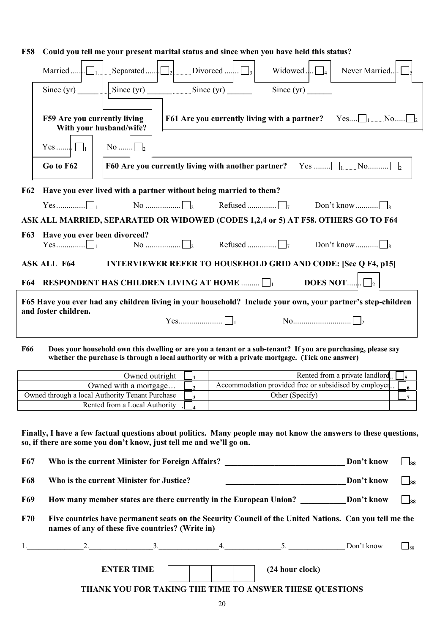| Married<br>Since $(yr)$               | Separated               | Divorced<br>$\vert \vert$<br>$Since (yr)$ Since $(yr)$                                                                                                                        | Widowed.<br>Since $(yr)$ | Never Married. |
|---------------------------------------|-------------------------|-------------------------------------------------------------------------------------------------------------------------------------------------------------------------------|--------------------------|----------------|
| F59 Are you currently living<br>$Yes$ | With your husband/wife? | <b>F61</b> Are you currently living with a partner? Yes $\bigcup_1$ <sub></sub> No $\bigcup_2$                                                                                |                          |                |
| Go to F62<br>F62.                     |                         | <b>F60 Are you currently living with another partner?</b> Yes $\Box$ <sub>1</sub> No $\Box$ <sub>2</sub><br>Have you ever lived with a nartner without heing married to them? |                          |                |

# **F58 Could you tell me your present marital status and since when you have held this status?**

|            |                              | F62 Have you ever lived with a partner without being married to them? |                                                                                                             |
|------------|------------------------------|-----------------------------------------------------------------------|-------------------------------------------------------------------------------------------------------------|
|            |                              |                                                                       |                                                                                                             |
|            |                              |                                                                       | ASK ALL MARRIED, SEPARATED OR WIDOWED (CODES 1,2,4 or 5) AT F58. OTHERS GO TO F64                           |
| <b>F63</b> | Have you ever been divorced? |                                                                       |                                                                                                             |
|            | <b>ASK ALL F64</b>           |                                                                       | <b>INTERVIEWER REFER TO HOUSEHOLD GRID AND CODE: [See Q F4, p15]</b>                                        |
| F64        |                              | RESPONDENT HAS CHILDREN LIVING AT HOME $\Box$                         |                                                                                                             |
|            | and foster children.         |                                                                       | F65 Have you ever had any children living in your household? Include your own, your partner's step-children |
|            |                              |                                                                       |                                                                                                             |

### **F66 Does your household own this dwelling or are you a tenant or a sub-tenant? If you are purchasing, please say whether the purchase is through a local authority or with a private mortgage. (Tick one answer)**

| Owned outright                                  | Rented from a private landlord                         |  |
|-------------------------------------------------|--------------------------------------------------------|--|
| Owned with a mortgage                           | Accommodation provided free or subsidised by employer. |  |
| Owned through a local Authority Tenant Purchase | Other (Specify)                                        |  |
| Rented from a Local Authority                   |                                                        |  |

### **Finally, I have a few factual questions about politics. Many people may not know the answers to these questions, so, if there are some you don't know, just tell me and we'll go on.**

F67 Who is the current Minister for Foreign Affairs? Don't know Don't know S<sub>88</sub>

| <b>F68</b> | Who is the current Minister for Justice? | Don't know | 188 |
|------------|------------------------------------------|------------|-----|
|------------|------------------------------------------|------------|-----|

- **F69** How many member states are there currently in the European Union? Don't know  $\Box_{88}$
- **F70 Five countries have permanent seats on the Security Council of the United Nations. Can you tell me the names of any of these five countries? (Write in)**

|                   |  |                                                         | Don't know | $\frac{188}{ }$ |
|-------------------|--|---------------------------------------------------------|------------|-----------------|
| <b>ENTER TIME</b> |  | (24 hour clock)                                         |            |                 |
|                   |  | THANK YOU FOR TAKING THE TIME TO ANSWER THESE OUESTIONS |            |                 |